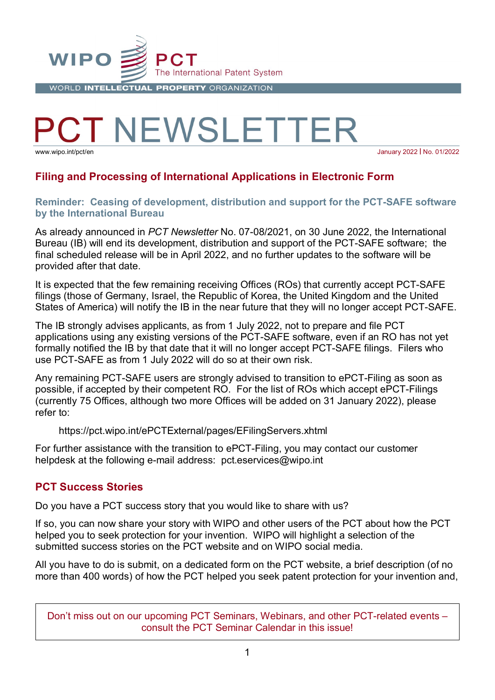

# **NEWSLETTER** www.wipo.int/pct/en January 2022 **|** No. 01/2022

# **Filing and Processing of International Applications in Electronic Form**

#### **Reminder: Ceasing of development, distribution and support for the PCT-SAFE software by the International Bureau**

As already announced in *PCT Newsletter* No. 07-08/2021, on 30 June 2022, the International Bureau (IB) will end its development, distribution and support of the PCT-SAFE software; the final scheduled release will be in April 2022, and no further updates to the software will be provided after that date.

It is expected that the few remaining receiving Offices (ROs) that currently accept PCT-SAFE filings (those of Germany, Israel, the Republic of Korea, the United Kingdom and the United States of America) will notify the IB in the near future that they will no longer accept PCT-SAFE.

The IB strongly advises applicants, as from 1 July 2022, not to prepare and file PCT applications using any existing versions of the PCT-SAFE software, even if an RO has not yet formally notified the IB by that date that it will no longer accept PCT-SAFE filings. Filers who use PCT-SAFE as from 1 July 2022 will do so at their own risk.

Any remaining PCT-SAFE users are strongly advised to transition to ePCT-Filing as soon as possible, if accepted by their competent RO. For the list of ROs which accept ePCT-Filings (currently 75 Offices, although two more Offices will be added on 31 January 2022), please refer to:

https://pct.wipo.int/ePCTExternal/pages/EFilingServers.xhtml

For further assistance with the transition to ePCT-Filing, you may contact our customer helpdesk at the following e-mail address: pct.eservices@wipo.int

# **PCT Success Stories**

Do you have a PCT success story that you would like to share with us?

If so, you can now share your story with WIPO and other users of the PCT about how the PCT helped you to seek protection for your invention. WIPO will highlight a selection of the submitted success stories on the PCT website and on WIPO social media.

All you have to do is submit, on a dedicated form on the PCT website, a brief description (of no more than 400 words) of how the PCT helped you seek patent protection for your invention and,

Don't miss out on our upcoming PCT Seminars, Webinars, and other PCT-related events – consult the PCT Seminar Calendar in this issue!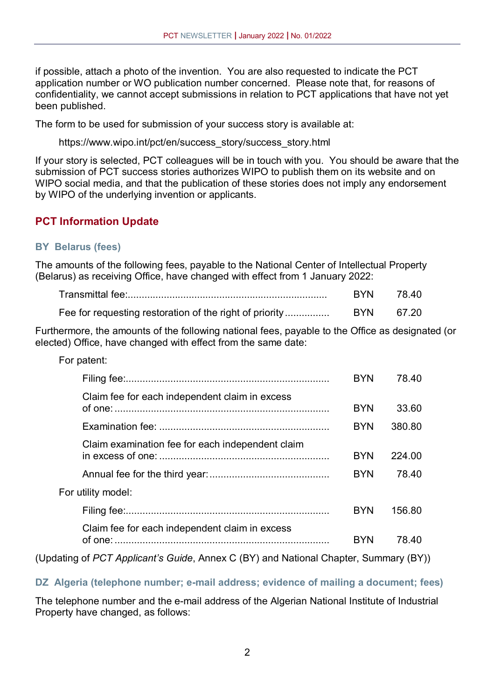if possible, attach a photo of the invention. You are also requested to indicate the PCT application number or WO publication number concerned. Please note that, for reasons of confidentiality, we cannot accept submissions in relation to PCT applications that have not yet been published.

The form to be used for submission of your success story is available at:

https://www.wipo.int/pct/en/success\_story/success\_story.html

If your story is selected, PCT colleagues will be in touch with you. You should be aware that the submission of PCT success stories authorizes WIPO to publish them on its website and on WIPO social media, and that the publication of these stories does not imply any endorsement by WIPO of the underlying invention or applicants.

# **PCT Information Update**

### **BY Belarus (fees)**

The amounts of the following fees, payable to the National Center of Intellectual Property (Belarus) as receiving Office, have changed with effect from 1 January 2022:

|  | BYN 78.40 |
|--|-----------|
|  |           |

Furthermore, the amounts of the following national fees, payable to the Office as designated (or elected) Office, have changed with effect from the same date:

#### For patent:

|                                                  | <b>BYN</b> | 78.40  |
|--------------------------------------------------|------------|--------|
| Claim fee for each independent claim in excess   | <b>BYN</b> | 33.60  |
|                                                  | <b>BYN</b> | 380.80 |
| Claim examination fee for each independent claim | <b>BYN</b> | 224.00 |
|                                                  | <b>BYN</b> | 78.40  |
| For utility model:                               |            |        |
|                                                  | <b>BYN</b> | 156.80 |
| Claim fee for each independent claim in excess   | <b>RYN</b> | 78 40  |
|                                                  |            |        |

(Updating of *PCT Applicant's Guide*, Annex C (BY) and National Chapter, Summary (BY))

#### **DZ Algeria (telephone number; e-mail address; evidence of mailing a document; fees)**

The telephone number and the e-mail address of the Algerian National Institute of Industrial Property have changed, as follows: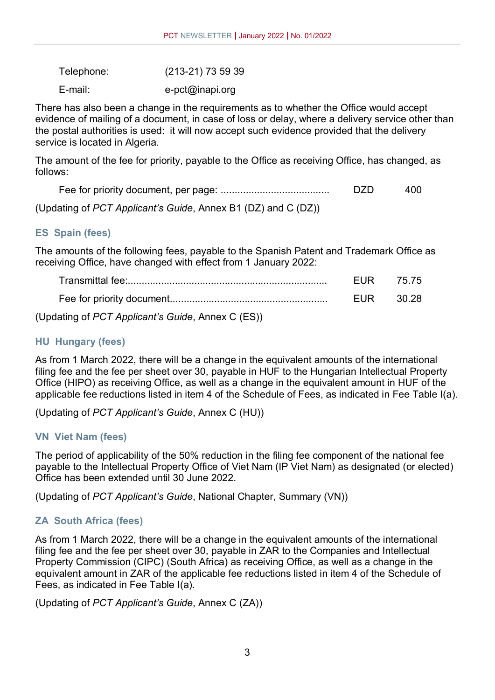| Telephone: | (213-21) 73 59 39 |
|------------|-------------------|
|------------|-------------------|

E-mail: e-pct@inapi.org

There has also been a change in the requirements as to whether the Office would accept evidence of mailing of a document, in case of loss or delay, where a delivery service other than the postal authorities is used: it will now accept such evidence provided that the delivery service is located in Algeria.

The amount of the fee for priority, payable to the Office as receiving Office, has changed, as follows:

Fee for priority document, per page: ....................................... DZD 400 (Updating of *PCT Applicant's Guide*, Annex B1 (DZ) and C (DZ))

# **ES Spain (fees)**

The amounts of the following fees, payable to the Spanish Patent and Trademark Office as receiving Office, have changed with effect from 1 January 2022:

| FUR -          | 75.75 |
|----------------|-------|
| FUR <b>FUR</b> | 30.28 |

(Updating of *PCT Applicant's Guide*, Annex C (ES))

### **HU Hungary (fees)**

As from 1 March 2022, there will be a change in the equivalent amounts of the international filing fee and the fee per sheet over 30, payable in HUF to the Hungarian Intellectual Property Office (HIPO) as receiving Office, as well as a change in the equivalent amount in HUF of the applicable fee reductions listed in item 4 of the Schedule of Fees, as indicated in Fee Table I(a).

(Updating of *PCT Applicant's Guide*, Annex C (HU))

# **VN Viet Nam (fees)**

The period of applicability of the 50% reduction in the filing fee component of the national fee payable to the Intellectual Property Office of Viet Nam (IP Viet Nam) as designated (or elected) Office has been extended until 30 June 2022.

(Updating of *PCT Applicant's Guide*, National Chapter, Summary (VN))

# **ZA South Africa (fees)**

As from 1 March 2022, there will be a change in the equivalent amounts of the international filing fee and the fee per sheet over 30, payable in ZAR to the Companies and Intellectual Property Commission (CIPC) (South Africa) as receiving Office, as well as a change in the equivalent amount in ZAR of the applicable fee reductions listed in item 4 of the Schedule of Fees, as indicated in Fee Table I(a).

(Updating of *PCT Applicant's Guide*, Annex C (ZA))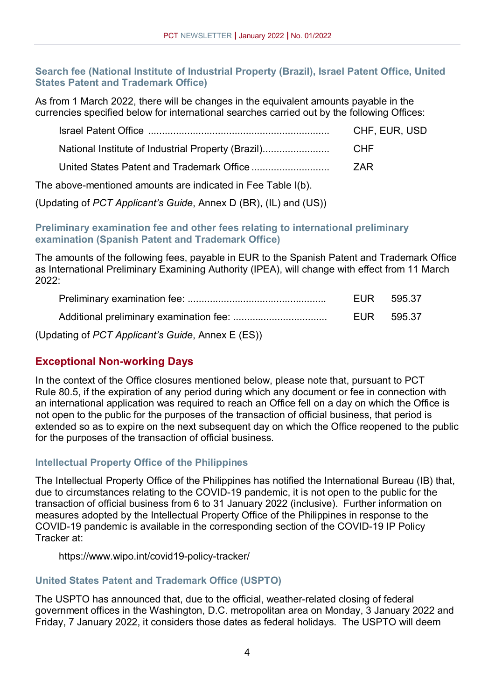### **Search fee (National Institute of Industrial Property (Brazil), Israel Patent Office, United States Patent and Trademark Office)**

As from 1 March 2022, there will be changes in the equivalent amounts payable in the currencies specified below for international searches carried out by the following Offices:

| CHF, EUR, USD |
|---------------|
|               |
| - 7AR         |

The above-mentioned amounts are indicated in Fee Table I(b).

(Updating of *PCT Applicant's Guide*, Annex D (BR), (IL) and (US))

### **Preliminary examination fee and other fees relating to international preliminary examination (Spanish Patent and Trademark Office)**

The amounts of the following fees, payable in EUR to the Spanish Patent and Trademark Office as International Preliminary Examining Authority (IPEA), will change with effect from 11 March 2022:

|                                                   | EUR 595.37 |
|---------------------------------------------------|------------|
|                                                   | FUR 595.37 |
| (Updating of PCT Applicant's Guide, Annex E (ES)) |            |

# **Exceptional Non-working Days**

In the context of the Office closures mentioned below, please note that, pursuant to PCT Rule 80.5, if the expiration of any period during which any document or fee in connection with an international application was required to reach an Office fell on a day on which the Office is not open to the public for the purposes of the transaction of official business, that period is extended so as to expire on the next subsequent day on which the Office reopened to the public for the purposes of the transaction of official business.

# **Intellectual Property Office of the Philippines**

The Intellectual Property Office of the Philippines has notified the International Bureau (IB) that, due to circumstances relating to the COVID-19 pandemic, it is not open to the public for the transaction of official business from 6 to 31 January 2022 (inclusive). Further information on measures adopted by the Intellectual Property Office of the Philippines in response to the COVID-19 pandemic is available in the corresponding section of the COVID-19 IP Policy Tracker at:

https://www.wipo.int/covid19-policy-tracker/

# **United States Patent and Trademark Office (USPTO)**

The USPTO has announced that, due to the official, weather-related closing of federal government offices in the Washington, D.C. metropolitan area on Monday, 3 January 2022 and Friday, 7 January 2022, it considers those dates as federal holidays. The USPTO will deem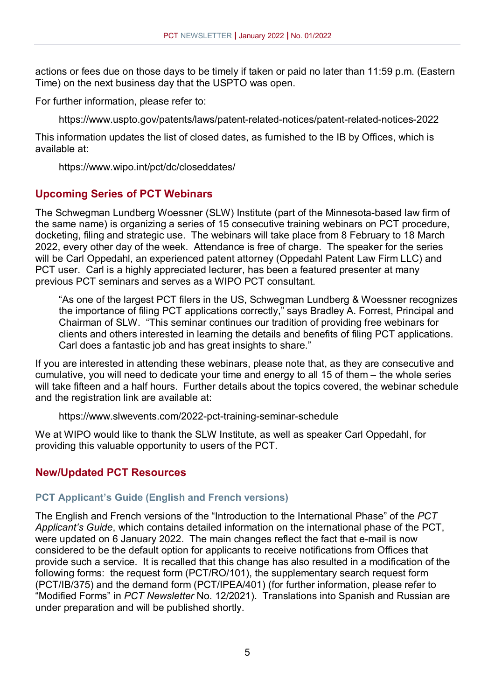actions or fees due on those days to be timely if taken or paid no later than 11:59 p.m. (Eastern Time) on the next business day that the USPTO was open.

For further information, please refer to:

https://www.uspto.gov/patents/laws/patent-related-notices/patent-related-notices-2022

This information updates the list of closed dates, as furnished to the IB by Offices, which is available at:

https://www.wipo.int/pct/dc/closeddates/

# **Upcoming Series of PCT Webinars**

The Schwegman Lundberg Woessner (SLW) Institute (part of the Minnesota-based law firm of the same name) is organizing a series of 15 consecutive training webinars on PCT procedure, docketing, filing and strategic use. The webinars will take place from 8 February to 18 March 2022, every other day of the week. Attendance is free of charge. The speaker for the series will be Carl Oppedahl, an experienced patent attorney (Oppedahl Patent Law Firm LLC) and PCT user. Carl is a highly appreciated lecturer, has been a featured presenter at many previous PCT seminars and serves as a WIPO PCT consultant.

"As one of the largest PCT filers in the US, Schwegman Lundberg & Woessner recognizes the importance of filing PCT applications correctly," says Bradley A. Forrest, Principal and Chairman of SLW. "This seminar continues our tradition of providing free webinars for clients and others interested in learning the details and benefits of filing PCT applications. Carl does a fantastic job and has great insights to share."

If you are interested in attending these webinars, please note that, as they are consecutive and cumulative, you will need to dedicate your time and energy to all 15 of them – the whole series will take fifteen and a half hours. Further details about the topics covered, the webinar schedule and the registration link are available at:

https://www.slwevents.com/2022-pct-training-seminar-schedule

We at WIPO would like to thank the SLW Institute, as well as speaker Carl Oppedahl, for providing this valuable opportunity to users of the PCT.

# **New/Updated PCT Resources**

# **PCT Applicant's Guide (English and French versions)**

The English and French versions of the "Introduction to the International Phase" of the *PCT Applicant's Guide*, which contains detailed information on the international phase of the PCT, were updated on 6 January 2022. The main changes reflect the fact that e-mail is now considered to be the default option for applicants to receive notifications from Offices that provide such a service. It is recalled that this change has also resulted in a modification of the following forms: the request form (PCT/RO/101), the supplementary search request form (PCT/IB/375) and the demand form (PCT/IPEA/401) (for further information, please refer to "Modified Forms" in *PCT Newsletter* No. 12/2021). Translations into Spanish and Russian are under preparation and will be published shortly.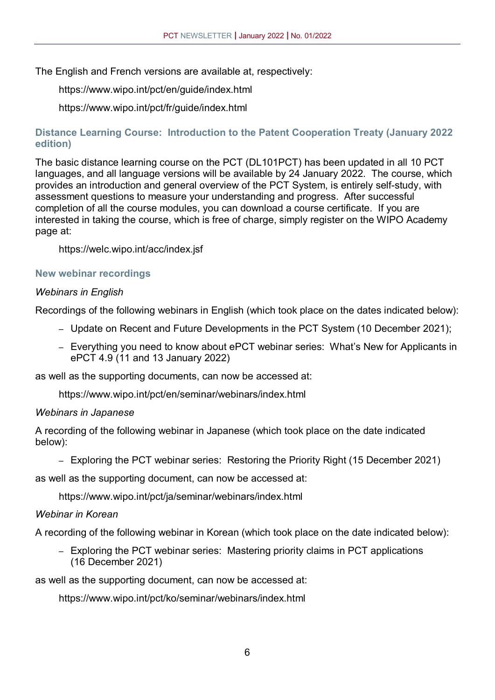The English and French versions are available at, respectively:

https://www.wipo.int/pct/en/guide/index.html

https://www.wipo.int/pct/fr/guide/index.html

# **Distance Learning Course: Introduction to the Patent Cooperation Treaty (January 2022 edition)**

The basic distance learning course on the PCT (DL101PCT) has been updated in all 10 PCT languages, and all language versions will be available by 24 January 2022. The course, which provides an introduction and general overview of the PCT System, is entirely self-study, with assessment questions to measure your understanding and progress. After successful completion of all the course modules, you can download a course certificate. If you are interested in taking the course, which is free of charge, simply register on the WIPO Academy page at:

https://welc.wipo.int/acc/index.jsf

#### **New webinar recordings**

### *Webinars in English*

Recordings of the following webinars in English (which took place on the dates indicated below):

- Update on Recent and Future Developments in the PCT System (10 December 2021);
- Everything you need to know about ePCT webinar series: What's New for Applicants in ePCT 4.9 (11 and 13 January 2022)

as well as the supporting documents, can now be accessed at:

https://www.wipo.int/pct/en/seminar/webinars/index.html

#### *Webinars in Japanese*

A recording of the following webinar in Japanese (which took place on the date indicated below):

– Exploring the PCT webinar series: Restoring the Priority Right (15 December 2021)

as well as the supporting document, can now be accessed at:

https://www.wipo.int/pct/ja/seminar/webinars/index.html

#### *Webinar in Korean*

A recording of the following webinar in Korean (which took place on the date indicated below):

– Exploring the PCT webinar series: Mastering priority claims in PCT applications (16 December 2021)

as well as the supporting document, can now be accessed at:

https://www.wipo.int/pct/ko/seminar/webinars/index.html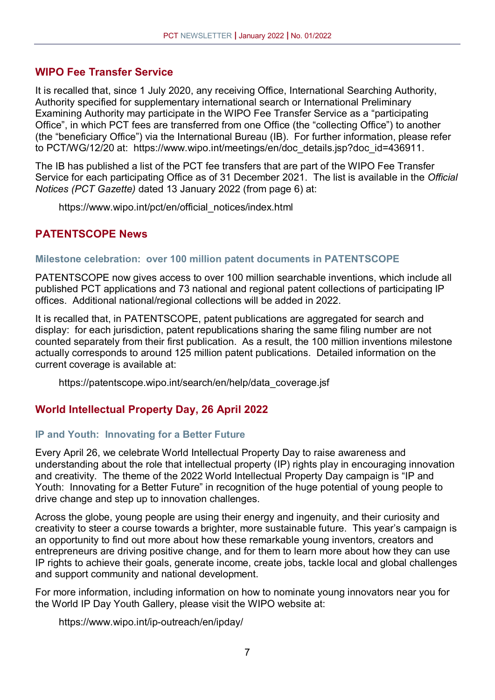# **WIPO Fee Transfer Service**

It is recalled that, since 1 July 2020, any receiving Office, International Searching Authority, Authority specified for supplementary international search or International Preliminary Examining Authority may participate in the WIPO Fee Transfer Service as a "participating Office", in which PCT fees are transferred from one Office (the "collecting Office") to another (the "beneficiary Office") via the International Bureau (IB). For further information, please refer to PCT/WG/12/20 at: https://www.wipo.int/meetings/en/doc\_details.jsp?doc\_id=436911.

The IB has published a list of the PCT fee transfers that are part of the WIPO Fee Transfer Service for each participating Office as of 31 December 2021. The list is available in the *Official Notices (PCT Gazette)* dated 13 January 2022 (from page 6) at:

https://www.wipo.int/pct/en/official\_notices/index.html

# **PATENTSCOPE News**

#### **Milestone celebration: over 100 million patent documents in PATENTSCOPE**

PATENTSCOPE now gives access to over 100 million searchable inventions, which include all published PCT applications and 73 national and regional patent collections of participating IP offices. Additional national/regional collections will be added in 2022.

It is recalled that, in PATENTSCOPE, patent publications are aggregated for search and display: for each jurisdiction, patent republications sharing the same filing number are not counted separately from their first publication. As a result, the 100 million inventions milestone actually corresponds to around 125 million patent publications. Detailed information on the current coverage is available at:

https://patentscope.wipo.int/search/en/help/data\_coverage.jsf

# **World Intellectual Property Day, 26 April 2022**

#### **IP and Youth: Innovating for a Better Future**

Every April 26, we celebrate World Intellectual Property Day to raise awareness and understanding about the role that intellectual property (IP) rights play in encouraging innovation and creativity. The theme of the 2022 World Intellectual Property Day campaign is "IP and Youth: Innovating for a Better Future" in recognition of the huge potential of young people to drive change and step up to innovation challenges.

Across the globe, young people are using their energy and ingenuity, and their curiosity and creativity to steer a course towards a brighter, more sustainable future. This year's campaign is an opportunity to find out more about how these remarkable young inventors, creators and entrepreneurs are driving positive change, and for them to learn more about how they can use IP rights to achieve their goals, generate income, create jobs, tackle local and global challenges and support community and national development.

For more information, including information on how to nominate young innovators near you for the World IP Day Youth Gallery, please visit the WIPO website at:

https://www.wipo.int/ip-outreach/en/ipday/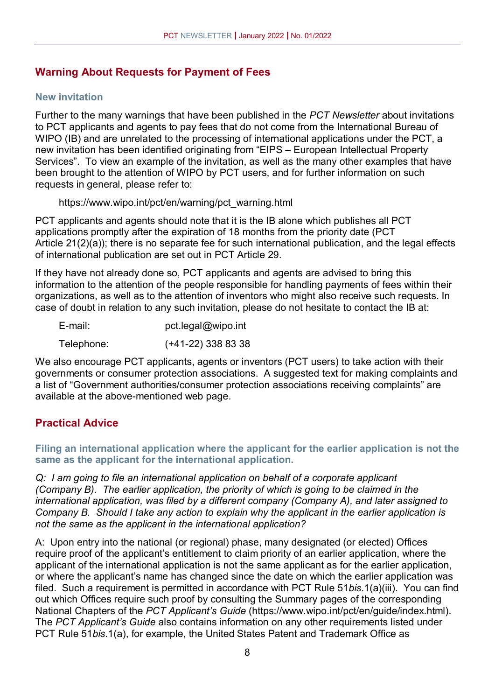# **Warning About Requests for Payment of Fees**

# **New invitation**

Further to the many warnings that have been published in the *PCT Newsletter* about invitations to PCT applicants and agents to pay fees that do not come from the International Bureau of WIPO (IB) and are unrelated to the processing of international applications under the PCT, a new invitation has been identified originating from "EIPS – European Intellectual Property Services". To view an example of the invitation, as well as the many other examples that have been brought to the attention of WIPO by PCT users, and for further information on such requests in general, please refer to:

https://www.wipo.int/pct/en/warning/pct\_warning.html

PCT applicants and agents should note that it is the IB alone which publishes all PCT applications promptly after the expiration of 18 months from the priority date (PCT Article 21(2)(a)); there is no separate fee for such international publication, and the legal effects of international publication are set out in PCT Article 29.

If they have not already done so, PCT applicants and agents are advised to bring this information to the attention of the people responsible for handling payments of fees within their organizations, as well as to the attention of inventors who might also receive such requests. In case of doubt in relation to any such invitation, please do not hesitate to contact the IB at:

| E-mail:    | pct.legal@wipo.int   |
|------------|----------------------|
| Telephone: | $(+41-22)$ 338 83 38 |

We also encourage PCT applicants, agents or inventors (PCT users) to take action with their governments or consumer protection associations. A suggested text for making complaints and a list of "Government authorities/consumer protection associations receiving complaints" are available at the above-mentioned web page.

# **Practical Advice**

**Filing an international application where the applicant for the earlier application is not the same as the applicant for the international application.**

*Q: I am going to file an international application on behalf of a corporate applicant (Company B). The earlier application, the priority of which is going to be claimed in the international application, was filed by a different company (Company A), and later assigned to Company B. Should I take any action to explain why the applicant in the earlier application is not the same as the applicant in the international application?*

A: Upon entry into the national (or regional) phase, many designated (or elected) Offices require proof of the applicant's entitlement to claim priority of an earlier application, where the applicant of the international application is not the same applicant as for the earlier application, or where the applicant's name has changed since the date on which the earlier application was filed. Such a requirement is permitted in accordance with PCT Rule 51*bis*.1(a)(iii). You can find out which Offices require such proof by consulting the Summary pages of the corresponding National Chapters of the *PCT Applicant's Guide* (https://www.wipo.int/pct/en/guide/index.html). The *PCT Applicant's Guide* also contains information on any other requirements listed under PCT Rule 51*bis*.1(a), for example, the United States Patent and Trademark Office as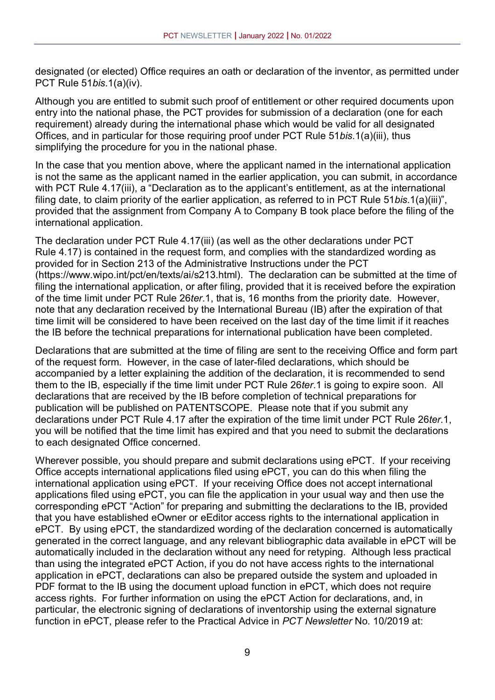designated (or elected) Office requires an oath or declaration of the inventor, as permitted under PCT Rule 51*bis*.1(a)(iv).

Although you are entitled to submit such proof of entitlement or other required documents upon entry into the national phase, the PCT provides for submission of a declaration (one for each requirement) already during the international phase which would be valid for all designated Offices, and in particular for those requiring proof under PCT Rule 51*bis*.1(a)(iii), thus simplifying the procedure for you in the national phase.

In the case that you mention above, where the applicant named in the international application is not the same as the applicant named in the earlier application, you can submit, in accordance with PCT Rule 4.17(iii), a "Declaration as to the applicant's entitlement, as at the international filing date, to claim priority of the earlier application, as referred to in PCT Rule 51*bis*.1(a)(iii)", provided that the assignment from Company A to Company B took place before the filing of the international application.

The declaration under PCT Rule 4.17(iii) (as well as the other declarations under PCT Rule 4.17) is contained in the request form, and complies with the standardized wording as provided for in Section 213 of the Administrative Instructions under the PCT (https://www.wipo.int/pct/en/texts/ai/s213.html). The declaration can be submitted at the time of filing the international application, or after filing, provided that it is received before the expiration of the time limit under PCT Rule 26*ter*.1, that is, 16 months from the priority date. However, note that any declaration received by the International Bureau (IB) after the expiration of that time limit will be considered to have been received on the last day of the time limit if it reaches the IB before the technical preparations for international publication have been completed.

Declarations that are submitted at the time of filing are sent to the receiving Office and form part of the request form. However, in the case of later-filed declarations, which should be accompanied by a letter explaining the addition of the declaration, it is recommended to send them to the IB, especially if the time limit under PCT Rule 26*ter*.1 is going to expire soon. All declarations that are received by the IB before completion of technical preparations for publication will be published on PATENTSCOPE. Please note that if you submit any declarations under PCT Rule 4.17 after the expiration of the time limit under PCT Rule 26*ter*.1, you will be notified that the time limit has expired and that you need to submit the declarations to each designated Office concerned.

Wherever possible, you should prepare and submit declarations using ePCT. If your receiving Office accepts international applications filed using ePCT, you can do this when filing the international application using ePCT. If your receiving Office does not accept international applications filed using ePCT, you can file the application in your usual way and then use the corresponding ePCT "Action" for preparing and submitting the declarations to the IB, provided that you have established eOwner or eEditor access rights to the international application in ePCT. By using ePCT, the standardized wording of the declaration concerned is automatically generated in the correct language, and any relevant bibliographic data available in ePCT will be automatically included in the declaration without any need for retyping. Although less practical than using the integrated ePCT Action, if you do not have access rights to the international application in ePCT, declarations can also be prepared outside the system and uploaded in PDF format to the IB using the document upload function in ePCT, which does not require access rights. For further information on using the ePCT Action for declarations, and, in particular, the electronic signing of declarations of inventorship using the external signature function in ePCT, please refer to the Practical Advice in *PCT Newsletter* No. 10/2019 at: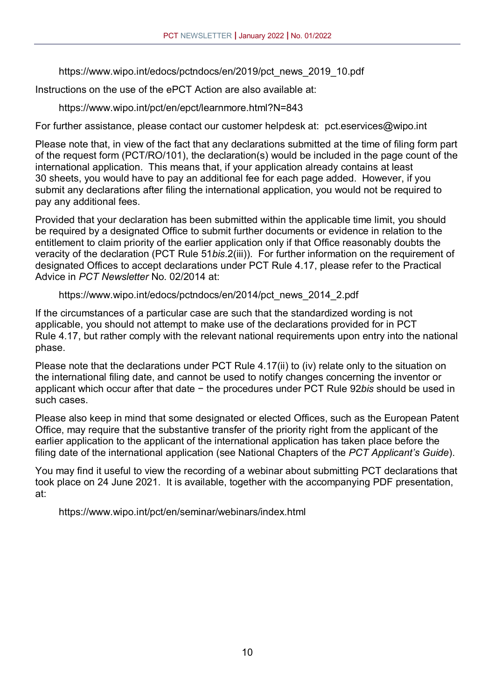https://www.wipo.int/edocs/pctndocs/en/2019/pct\_news\_2019\_10.pdf

Instructions on the use of the ePCT Action are also available at:

https://www.wipo.int/pct/en/epct/learnmore.html?N=843

For further assistance, please contact our customer helpdesk at: pct.eservices@wipo.int

Please note that, in view of the fact that any declarations submitted at the time of filing form part of the request form (PCT/RO/101), the declaration(s) would be included in the page count of the international application. This means that, if your application already contains at least 30 sheets, you would have to pay an additional fee for each page added. However, if you submit any declarations after filing the international application, you would not be required to pay any additional fees.

Provided that your declaration has been submitted within the applicable time limit, you should be required by a designated Office to submit further documents or evidence in relation to the entitlement to claim priority of the earlier application only if that Office reasonably doubts the veracity of the declaration (PCT Rule 51*bis*.2(iii)). For further information on the requirement of designated Offices to accept declarations under PCT Rule 4.17, please refer to the Practical Advice in *PCT Newsletter* No. 02/2014 at:

https://www.wipo.int/edocs/pctndocs/en/2014/pct\_news\_2014\_2.pdf

If the circumstances of a particular case are such that the standardized wording is not applicable, you should not attempt to make use of the declarations provided for in PCT Rule 4.17, but rather comply with the relevant national requirements upon entry into the national phase.

Please note that the declarations under PCT Rule 4.17(ii) to (iv) relate only to the situation on the international filing date, and cannot be used to notify changes concerning the inventor or applicant which occur after that date − the procedures under PCT Rule 92*bis* should be used in such cases.

Please also keep in mind that some designated or elected Offices, such as the European Patent Office, may require that the substantive transfer of the priority right from the applicant of the earlier application to the applicant of the international application has taken place before the filing date of the international application (see National Chapters of the *PCT Applicant's Guide*).

You may find it useful to view the recording of a webinar about submitting PCT declarations that took place on 24 June 2021. It is available, together with the accompanying PDF presentation, at:

https://www.wipo.int/pct/en/seminar/webinars/index.html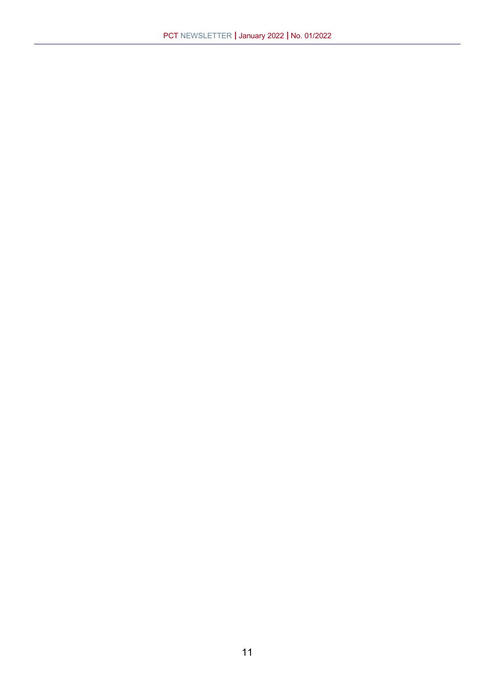| <b>PCT Seminar Calendar</b><br>(https://www.wipo.int/pct/en/seminar/seminar.pdf)<br>(situation on 20 January 2022) |                           |                                                                                                                             |                                                                                                                                                                                           |
|--------------------------------------------------------------------------------------------------------------------|---------------------------|-----------------------------------------------------------------------------------------------------------------------------|-------------------------------------------------------------------------------------------------------------------------------------------------------------------------------------------|
| Dates and<br><b>location</b>                                                                                       | Language<br>οf<br>seminar | Nature of seminar;<br><b>WIPO speakers</b><br>(and others where known)                                                      | Organizer and<br>contact details                                                                                                                                                          |
| 18 – 20 May 2022<br>Stockholm (SE)                                                                                 | English                   | Advanced PCT Seminar<br>WIPO speakers: to be announced                                                                      | IP-Akademin, Trona Patentrådgivning AB<br>(Mr. Adrian Farhadi)<br>E-mail: info@ipakademin.se<br>Internet: www.ipakademin.se                                                               |
| 9 – 10 June 2022<br>(Online seminar)                                                                               | English                   | PCT seminar within the framework of<br>the basic training course in European<br>patent law<br>WIPO speaker: to be announced | Centre d'études internationales de la<br>propriété intellectuelle (CEIPI)<br>(Mr. Pablo Calvo Ramón and Ms. Ruth<br>Sánchez Sánchez)<br>E-mail: pcalvo@abg-ip.com;<br>rss.edu@elzaburu.es |

| <b>PCT Webinars</b><br>(https://www.wipo.int/pct/en/seminar/webinars/index.html) |                           |                                                                                                                                        |                                                                                                                                                                        |  |
|----------------------------------------------------------------------------------|---------------------------|----------------------------------------------------------------------------------------------------------------------------------------|------------------------------------------------------------------------------------------------------------------------------------------------------------------------|--|
| Date and time                                                                    | Language<br>Οl<br>webinar | Nature of webinar;<br><b>WIPO speakers</b>                                                                                             | <b>Registration</b>                                                                                                                                                    |  |
| <b>25 January 2022</b><br>$10:00 - 11:00$ (CET)                                  | French                    | "Exploring the PCT" webinar series:<br>Mastering priority claims in PCT<br>applications<br>WIPO speakers: Ms. Schumm and<br>Ms. Gateau | Further information:<br>https://www.wipo.int/pct/fr/news/2022/new<br>s 0001.html<br>Registration:<br>https://register.gotowebinar.com/register/5<br>259631939604564748 |  |

| <b>PCT Events Without WIPO speakers<sup>1</sup></b>                          |                      |                                                                                                                                                                                                         |                                                                                                                          |  |
|------------------------------------------------------------------------------|----------------------|---------------------------------------------------------------------------------------------------------------------------------------------------------------------------------------------------------|--------------------------------------------------------------------------------------------------------------------------|--|
| Dates and<br><b>location</b>                                                 | Language<br>of event | Nature of seminar;<br><b>Speakers</b>                                                                                                                                                                   | Organizer and<br>registration                                                                                            |  |
| 8 February 2022<br>$19:00 - 20:30$ (CET)<br>$(12:00 - 13:30$ US CT<br>time)  | English              | 2022 Virtual PCT Training Seminar<br>Session 1:<br>What is PCT? Why We Care?<br>Paris Path Versus PCT<br>Speaker: Mr. Carl Oppedahl<br>(Oppedahl Patent Law Firm LLC)                                   | <b>SLW Institute</b><br>Further information and registration:<br>https://www.slwevents.com/2022-pct-<br>training-seminar |  |
| 10 February 2022<br>$19:00 - 20:00$ (CET)<br>$(12:00 - 13:00$ US CT<br>time) | English              | 2022 Virtual PCT Training Seminar<br>Session 2:<br>Planning for PCT and Paris,<br>Article 4 of Paris, SAOSIT, Making<br>Use of WIPO DAS<br>Speaker: Mr. Carl Oppedahl<br>(Oppedahl Patent Law Firm LLC) | <b>SLW Institute</b><br>Further information and registration:<br>https://www.slwevents.com/2022-pct-<br>training-seminar |  |
| 14 February 2022<br>19:00 - 20:00 (CET)<br>$(12:00 - 13:00$ US CT<br>time)   | English              | 2022 Virtual PCT Training Seminar<br>Session 3:<br>Selecting a Receiving Office,<br>RO/US Versus RO/IB<br>Speaker: Mr. Carl Oppedahl<br>(Oppedahl Patent Law Firm LLC)                                  | <b>SLW Institute</b><br>Further information and registration:<br>https://www.slwevents.com/2022-pct-<br>training-seminar |  |

 $1$  Views and opinions of speakers at these events do not necessarily represent the views of WIPO.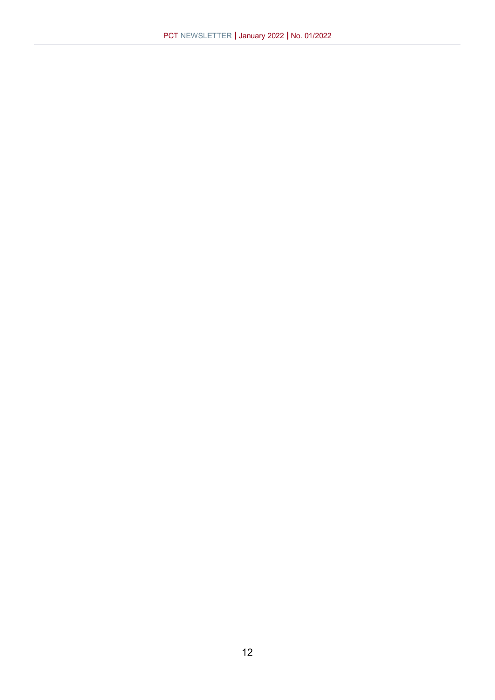| PCT Events Without WIPO speakers <sup>2</sup> [continued]                    |                      |                                                                                                                                                                                                                                                                                          |                                                                                                                          |  |
|------------------------------------------------------------------------------|----------------------|------------------------------------------------------------------------------------------------------------------------------------------------------------------------------------------------------------------------------------------------------------------------------------------|--------------------------------------------------------------------------------------------------------------------------|--|
| Dates and<br>location                                                        | Language<br>of event | Nature of seminar;<br><b>Speakers</b>                                                                                                                                                                                                                                                    | <b>Organizer and</b><br>registration                                                                                     |  |
| 16 February 2022<br>$19:00 - 20:00$ (CET)<br>$(12:00 - 13:00$ US CT<br>time) | English              | 2022 Virtual PCT Training Seminar<br><b>Session 4:</b><br>Selecting an International<br>Searching Authority<br>Speaker: Mr. Carl Oppedahl<br>(Oppedahl Patent Law Firm LLC)                                                                                                              | <b>SLW Institute</b><br>Further information and registration:<br>https://www.slwevents.com/2022-pct-<br>training-seminar |  |
| 18 February 2022<br>$19:00 - 20:00$ (CET)<br>$(12:00 - 13:00$ US CT<br>time) | English              | 2022 Virtual PCT Training Seminar<br><b>Session 5:</b><br>Preparing a PCT Request-<br>Making Use of ePCT and Getting<br>Benefit of Validations, Avoiding<br>Malpractice on Priority Claim<br>Mistakes<br>Speaker: Mr. Carl Oppedahl<br>(Oppedahl Patent Law Firm LLC)                    | <b>SLW Institute</b><br>Further information and registration:<br>https://www.slwevents.com/2022-pct-<br>training-seminar |  |
| 22 February 2022<br>$19:00 - 20:00$ (CET)<br>$(12:00 - 13:00$ US CT<br>time) | English              | 2022 Virtual PCT Training Seminar<br><b>Session 6:</b><br>Using Workplace Collaboration<br>Features of ePCT as You Lead up<br>to the PCT Filing, Shared Address<br>Book, External Signatures,<br><b>Document Reviews</b><br>Speaker: Mr. Carl Oppedahl<br>(Oppedahl Patent Law Firm LLC) | <b>SLW Institute</b><br>Further information and registration:<br>https://www.slwevents.com/2022-pct-<br>training-seminar |  |
| 24 February 2022<br>$19:00 - 20:00$ (CET)<br>$(12:00 - 13:00$ US CT<br>time) | English              | 2022 Virtual PCT Training Seminar<br><b>Session 7:</b><br>E-Filing of the PCT Application and<br>Docketing of PCT Thereafter<br>Speaker: Mr. Carl Oppedahl<br>(Oppedahl Patent Law Firm LLC)                                                                                             | <b>SLW Institute</b><br>Further information and registration:<br>https://www.slwevents.com/2022-pct-<br>training-seminar |  |
| 28 February 2022<br>$19:00 - 20:00$ (CET)<br>$(12:00 - 13:00$ US CT<br>time) | English              | 2022 Virtual PCT Training Seminar<br><b>Session 8:</b><br>What to Do When the International<br>Search Report and Written Opinion<br>Arrive, Do You File a Demand?<br>Speaker: Mr. Carl Oppedahl<br>(Oppedahl Patent Law Firm LLC)                                                        | <b>SLW Institute</b><br>Further information and registration:<br>https://www.slwevents.com/2022-pct-<br>training-seminar |  |
| 2 March 2022<br>$19:00 - 20:00$ (CET)<br>$(12:00 - 13:00$ US CT<br>time)     | English              | 2022 Virtual PCT Training Seminar<br><b>Session 9:</b><br>Using ePCT for "Actions" Such as<br>92bis Requests, Communicating<br>with ISAs<br>Speaker: Mr. Carl Oppedahl<br>(Oppedahl Patent Law Firm LLC)                                                                                 | <b>SLW Institute</b><br>Further information and registration:<br>https://www.slwevents.com/2022-pct-<br>training-seminar |  |
| 4 March 2022<br>$19:00 - 20:00$ (CET)<br>$(12:00 - 13:00$ US CT<br>time)     | English              | 2022 Virtual PCT Training Seminar<br>Session 10:<br>Mechanics of Filing a Demand,<br>Steps Before and After Filing the<br>Demand<br>Speaker: Mr. Carl Oppedahl<br>(Oppedahl Patent Law Firm LLC)                                                                                         | <b>SLW Institute</b><br>Further information and registration:<br>https://www.slwevents.com/2022-pct-<br>training-seminar |  |

*[continued on next page]*

<sup>2</sup> See footnote 1.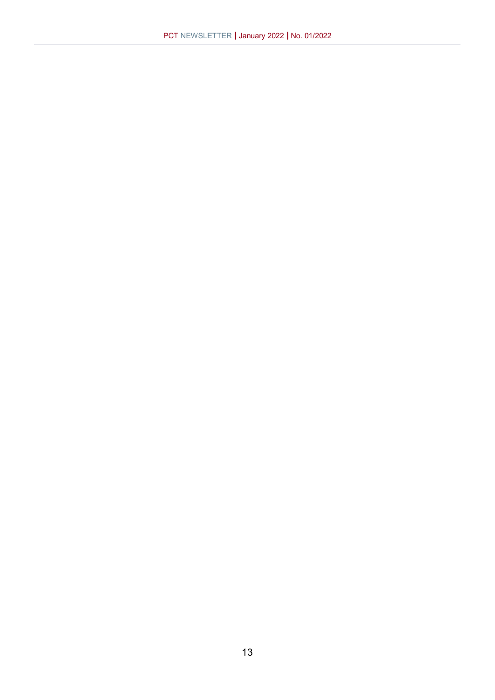| PCT Events Without WIPO speakers <sup>3</sup> [continued]                  |                      |                                                                                                                                                                                             |                                                                                                                          |  |
|----------------------------------------------------------------------------|----------------------|---------------------------------------------------------------------------------------------------------------------------------------------------------------------------------------------|--------------------------------------------------------------------------------------------------------------------------|--|
| Dates and<br>location                                                      | Language<br>of event | Nature of seminar;<br><b>Speakers</b>                                                                                                                                                       | <b>Organizer and</b><br>registration                                                                                     |  |
| 8 March 2022<br>$19:00 - 20:00$ (CET)<br>$(12:00 - 13:00$ US CT<br>time)   | English              | 2022 Virtual PCT Training Seminar<br>Session 11:<br>Understanding and Using the Five<br>Kinds of PCT Declarations<br>Speaker: Mr. Carl Oppedahl<br>(Oppedahl Patent Law Firm LLC)           | <b>SLW Institute</b><br>Further information and registration:<br>https://www.slwevents.com/2022-pct-<br>training-seminar |  |
| 10 March 2022<br>$19:00 - 20:00$ (CET)<br>$(12:00 - 13:00$ US CT<br>time)  | English              | 2022 Virtual PCT Training Seminar<br><b>Session 12:</b><br>National Phase Entry Generally -<br>Tips for Some Offices<br>Speaker: Mr. Carl Oppedahl<br>(Oppedahl Patent Law Firm LLC)        | <b>SLW Institute</b><br>Further information and registration:<br>https://www.slwevents.com/2022-pct-<br>training-seminar |  |
| 14 March 2022<br>$18:00 - 19:00(CET)$<br>(12:00 - 13:00 US CDT<br>time)    | English              | 2022 Virtual PCT Training Seminar<br>Session 13:<br>Choosing between US National-<br>Phase Entry and Bypass<br>Continuation<br>Speaker: Mr. Carl Oppedahl<br>(Oppedahl Patent Law Firm LLC) | <b>SLW Institute</b><br>Further information and registration:<br>https://www.slwevents.com/2022-pct-<br>training-seminar |  |
| 16 March 2022<br>$18:00 - 19:00$ (CET)<br>$(12:00 - 13:00$ US CDT<br>time) | English              | 2022 Virtual PCT Training Seminar<br><b>Session 14:</b><br>Best Practices and Procedure for<br>US National-Phase Entry<br>Speaker: Mr. Carl Oppedahl<br>(Oppedahl Patent Law Firm LLC)      | <b>SLW Institute</b><br>Further information and registration:<br>https://www.slwevents.com/2022-pct-<br>training-seminar |  |
| 18 March 2022<br>18:00 - 19:00 (CET)<br>(12:00 - 13:00 US CDT<br>time)     | English              | 2022 Virtual PCT Training Seminar<br>Session 15:<br>Making Use of PCT-PPH, and<br>Comparison with Track I and AE<br>Speaker: Mr. Carl Oppedahl<br>(Oppedahl Patent Law Firm LLC)            | <b>SLW Institute</b><br>Further information and registration:<br>https://www.slwevents.com/2022-pct-<br>training-seminar |  |

#### **Other IP events**

#### **Special Edition 2022: Inventions Geneva Evaluation Days** – **Virtual Event March 2022**

In order to continue to provide a platform for inventors and global innovation during the ongoing COVID-19 pandemic, the organizers of the International Exhibition of Inventions have decided to host a special virtual-only edition in 2022. It will offer the possibility for inventors from all over the world to participate in the competition by presenting their invention via a 3-minute video that will be judged by a panel of professional judges. Further information is available at:

www.inventions-geneva.ch/en/home/

#### **World IP Day, 26 April 2022**

In view of the on-going COVID-related constraints, World IP Day 2022 is being promoted as a hybrid campaign. Further information is available at:

www.wipo.int/ip-outreach/en/ipday/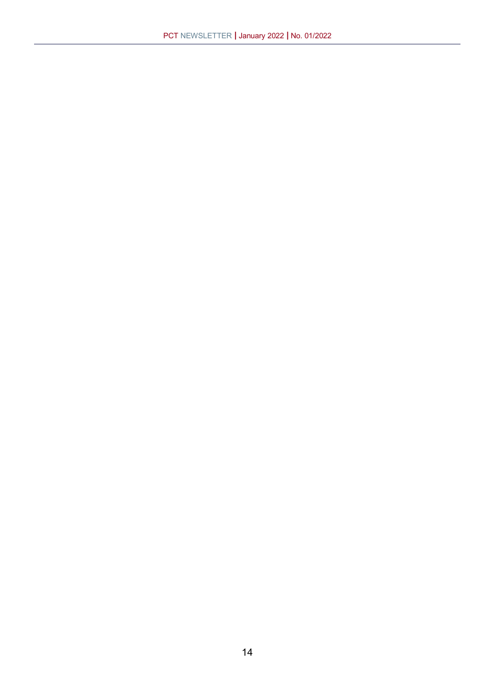#### **PCT Fee Tables**

#### **(amounts on 1 January 2022, unless otherwise indicated)**

The following Tables show the amounts and currencies of the main PCT fees which are payable to the receiving Offices (ROs) and the International Preliminary Examining Authorities (IPEAs) during the international phase under Chapter I (Tables I(a) and I(b)) and under Chapter II (Table II). Fees which are payable only in particular circumstances are not shown; nor are details of certain reductions and refunds which may be available; such information can be found in the *PCT Applicant's Guide,* Annexes C, D and E. Note that all amounts are subject to change due to variations in the fees themselves or fluctuations in exchange rates. The international filing fee may be reduced by CHF 100, 200 or 300 where the international application, or part of the international application, is filed in electronic form, as prescribed under Item 4(a), (b) and (c) of the Schedule of Fees (annexed to the Regulations under the PCT) and the *PCT Applicant's Guide*, paragraph 5.189. A 90% reduction in the international filing fee (including the fee per sheet over 30), the supplementary search handling fee and the handling fee, as well as an exemption from the transmittal fee payable to the International Bureau as receiving Office, is also available to applicants from certain States—refer to footnotes 2 and 14. (Note that if the CHF 100, 200 or 300 reduction, as the case may be, and the 90% reduction are applicable, the 90% reduction is calculated *after* the CHF 100, 200 or 300 reduction.) The footnotes to the Fee Tables follow Table II.

#### *Key to abbreviations used in fee tables:*

| eq          | equivalent of $-$          | <b>BND</b> | Brunei dollar     | HRK        | Croatian kuna      |            | MWK Malawian kwacha | TJS        | Tajik somoni          |
|-------------|----------------------------|------------|-------------------|------------|--------------------|------------|---------------------|------------|-----------------------|
| IA          | international application  | <b>BRL</b> | Brazilian real    | HUF        | Hungarian forint   | MYR.       | Malaysian ringgit   | <b>TND</b> | Tunisian dinar        |
| <b>IPEA</b> | International Preliminary  | <b>BYN</b> | Belarusian rouble | IDR        | Indonesian rupiah  | <b>NOK</b> | Norwegian krone     | <b>TRY</b> | Turkish lira          |
|             | <b>Examining Authority</b> | <b>BZD</b> | Belize dollar     | <b>ILS</b> | New Israeli shegel | <b>NZD</b> | New Zealand dollar  | TTD        | Trinidad and Tobago   |
| <b>ISA</b>  | International Searching    | CAD        | Canadian dollar   | INR        | Indian rupee       | <b>OMR</b> | Omani rial          |            | dollar                |
|             | Authority                  | <b>CHF</b> | Swiss franc       | <b>IRR</b> | Iranian rial       | <b>PEN</b> | Nuevo sol           | <b>UAH</b> | Ukrainian hryvnia     |
| <b>ISR</b>  | international search       | <b>CLP</b> | Chilean peso      | <b>ISK</b> | Icelandic krona    | <b>PGK</b> | Kina                | <b>UGX</b> | Uganda shilling       |
|             | report                     | <b>CNY</b> | Yuan renminbi     | JOD        | Jordanian dinar    | PHP        | Philippine peso     | <b>USD</b> | US dollar             |
| RO.         | receiving Office           | COP        | Colombian peso    | JPY        | Japanese yen       | <b>PLN</b> | Polish zloty        | <b>UZS</b> | Uzbek sum             |
|             |                            | <b>CUP</b> | Cuban peso        | KES        | Kenyan shilling    | QAR        | Qatari riyal        | VND        | Vietnamese dong       |
| Currencies: |                            | CZK        | Czech koruna      | <b>KHR</b> | Cambodian riel     | <b>RON</b> | New leu             | <b>XAF</b> | CFA franc BEAC        |
| ALL.        | Albanian lek               | DJF        | Djibouti franc    | <b>KPW</b> | Won (KP)           | <b>RSD</b> | Serbian dinar       | <b>XCD</b> | East Caribbean dollar |
| AMD         | Armenian dram              | <b>DKK</b> | Danish krone      | <b>KRW</b> | Won (KR)           | <b>RUB</b> | Russian rouble      | ZAR        | South African rand    |
| AUD.        | Australian dollar          | DZD        | Algerian dinar    | <b>KZT</b> | Kazakh tenge       | <b>SAT</b> | Samoan tala         | ZWD        | Zimbabwe dollar       |
| AZN         | Azerbaijani manat          | <b>EGP</b> | Eqyptian pound    | LSL        | Lesotho loti       | <b>SDG</b> | Sudanese pound      |            |                       |
| <b>BAM</b>  | Convertible mark           | <b>EUR</b> | Euro              | LYD.       | Libyan dinar       | <b>SEK</b> | Swedish krona       |            |                       |
| <b>BGN</b>  | Bulgarian lev              | <b>GBP</b> | Pound sterling    | <b>MAD</b> | Moroccan dirham    | SGD        | Singapore dollar    |            |                       |
| <b>BHD</b>  | Bahraini dinar             | <b>GHS</b> | Ghanaian cedi     | <b>MKD</b> | Macedonian denar   | THB        | Baht                |            |                       |

#### **Table I(a) — Transmittal and international filing fees**

|           | $\alpha$ i abie i(a) — Transmittai and miernational ming rees<br>(amounts on 1 January 2022, unless otherwise indicated) |            |            |                                           |                                        |                            |                                                              |                          |                                |  |
|-----------|--------------------------------------------------------------------------------------------------------------------------|------------|------------|-------------------------------------------|----------------------------------------|----------------------------|--------------------------------------------------------------|--------------------------|--------------------------------|--|
| <b>RO</b> | Transmittal fee <sup>1</sup>                                                                                             |            |            | <b>International</b><br>filing fee $1, 2$ | Fee per<br>sheet                       |                            | E-filing reductions according to<br><b>Schedule of Fees:</b> |                          | <b>Competent</b><br>$ISA(s)^4$ |  |
|           |                                                                                                                          |            |            | (CHF 1,330)                               | over 30 <sup>1, 2, 3</sup><br>(CHF 15) | Item $4(a)^5$<br>(CHF 100) | Item $4(b)^6$ Item $4(c)^7$<br>(CHF 200) (CHF 300)           |                          |                                |  |
| <b>AL</b> | <b>ALL</b>                                                                                                               | 9,000      | <b>CHF</b> | 1,330                                     | 15                                     | $\overline{\phantom{0}}$   | $\overline{\phantom{0}}$                                     | -                        | EP                             |  |
| AM        | <b>AMD</b>                                                                                                               | 32,000     | <b>USD</b> | 1,437                                     | 16                                     | $\overline{\phantom{0}}$   |                                                              | $\qquad \qquad -$        | EP RU                          |  |
| <b>AP</b> | <b>USD</b>                                                                                                               | 50         | <b>USD</b> | 1,437                                     | 16                                     | $\overline{\phantom{0}}$   | 216                                                          | 324                      | AT EP SE                       |  |
|           | (or eq in local currency)                                                                                                |            |            |                                           |                                        |                            |                                                              |                          |                                |  |
| <b>AT</b> | <b>EUR</b>                                                                                                               | 52         | <b>EUR</b> | 1,235                                     | 14                                     | $\overline{\phantom{0}}$   | 186                                                          | 279                      | EP                             |  |
| AU        | <b>AUD</b>                                                                                                               | 200        | <b>AUD</b> | 1,970                                     | 22                                     | $\overline{\phantom{0}}$   | 296                                                          | 444                      | AU KR                          |  |
| <b>AZ</b> | <b>AZN</b>                                                                                                               | 30         | <b>USD</b> | 1,437                                     | 16                                     | -                          | 216                                                          | 324                      | EP RU                          |  |
| <b>BA</b> | <b>BAM</b>                                                                                                               | 50         | <b>EUR</b> | 1,235                                     | 14                                     | -                          |                                                              |                          | EP                             |  |
| <b>BG</b> | <b>BGN</b>                                                                                                               | 80         | <b>EUR</b> | 1,235                                     | 14                                     | $\qquad \qquad -$          | 186                                                          | 279                      | EP RU                          |  |
| <b>BH</b> | <b>BHD</b>                                                                                                               | 70         | <b>USD</b> | 1,437                                     | 16                                     | $\overline{\phantom{0}}$   | $\overline{\phantom{0}}$                                     | $\overline{\phantom{0}}$ | AT EP US                       |  |
| <b>BN</b> | <b>BND</b>                                                                                                               | 150        | <b>BND</b> | eq CHF 1,330                              | eq CHF 15                              | $\overline{\phantom{0}}$   | eq CHF 200                                                   | eq CHF 300               | AU EP JP KR SG                 |  |
| <b>BR</b> | $BRL8$ online:                                                                                                           | 175        | <b>BRL</b> | eq CHF 1,330                              | eq CHF 15                              | $\qquad \qquad -$          | eq CHF 200                                                   | eq CHF 300               | AT BR EP SE US                 |  |
|           | on paper: 9                                                                                                              | 260        |            |                                           |                                        |                            |                                                              |                          |                                |  |
| <b>BW</b> | <b>USD</b>                                                                                                               | 32         | <b>USD</b> | 1,437                                     | 16                                     | $\qquad \qquad -$          |                                                              | $\qquad \qquad -$        | EP                             |  |
| <b>BY</b> | <b>BYN</b>                                                                                                               | 78.40      | <b>USD</b> | 1,437                                     | 16                                     | $\qquad \qquad -$          |                                                              | $\overline{\phantom{0}}$ | EP RU                          |  |
| <b>BZ</b> | <b>BZD</b>                                                                                                               | 300        | <b>USD</b> | 1,437                                     | 16                                     | $\qquad \qquad -$          |                                                              |                          | CA EP                          |  |
| CA        | CA                                                                                                                       | 305.39     | CAD        | 1,811                                     | 20                                     | $\overline{\phantom{0}}$   | 272                                                          | 408                      | CA                             |  |
| <b>CH</b> | <b>CHF</b>                                                                                                               | 100        | <b>CHF</b> | 1.330                                     | 15                                     | $\overline{\phantom{0}}$   | 200                                                          | 300                      | EP                             |  |
| <b>CL</b> | CLP eq $\text{USD}^{\,10}$                                                                                               | 130        |            | CLP eq USD <sup>10</sup> 1.437            | eq <b>USD</b> <sup>10</sup> 16         | $\qquad \qquad -$          | eq <b>USD</b> 216                                            | eq <b>USD</b> 324        | CL EP ES KR US                 |  |
| <b>CN</b> | <b>CNY</b>                                                                                                               | none       | <b>CNY</b> | 9,280                                     | 100                                    | $\qquad \qquad -$          | 1,390                                                        | 2,090                    | CN $EP11$                      |  |
| <b>CO</b> | COP online: 419,640<br>on paper: 503,470                                                                                 |            | <b>COP</b> | eq CHF 1,330                              | eq CHF 15                              | $\qquad \qquad -$          | eq CHF 200                                                   | eq CHF 300               | AT BR CL EP ES KR<br><b>RU</b> |  |
| <b>CR</b> | <b>USD</b> online:<br>on paper:                                                                                          | 212<br>289 | <b>USD</b> | 1,437                                     | 16                                     | -                          | 216                                                          | 324                      | CL EP ES                       |  |
|           |                                                                                                                          |            |            |                                           |                                        |                            |                                                              |                          | [continued on next page]       |  |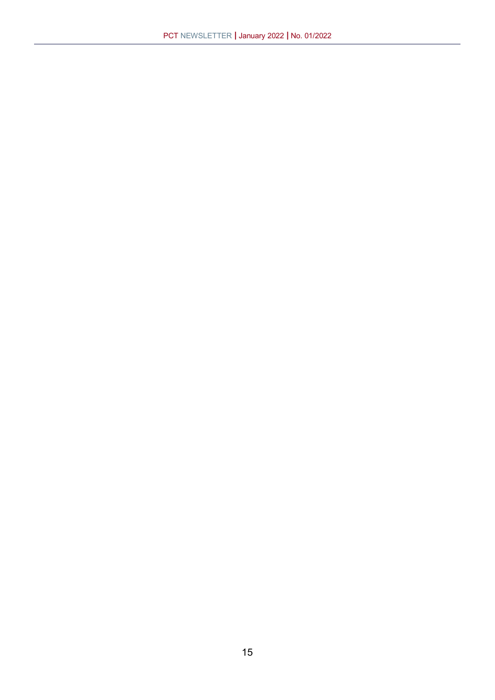|                 |                                    |                                  |                          |                                    | (amounts on 1 January 2022, unless otherwise indicated) |                                                      |                                                              |                          |                                  |
|-----------------|------------------------------------|----------------------------------|--------------------------|------------------------------------|---------------------------------------------------------|------------------------------------------------------|--------------------------------------------------------------|--------------------------|----------------------------------|
| <b>RO</b>       |                                    | Transmittal fee <sup>1</sup>     |                          | International<br>filing fee $1, 2$ | Fee per<br>sheet                                        |                                                      | E-filing reductions according to<br><b>Schedule of Fees:</b> |                          | Competent<br>ISA(s) <sup>4</sup> |
|                 |                                    |                                  |                          |                                    | over 301, 2, 3                                          | Item $4(a)^5$                                        | Item $4(b)^6$                                                | Item $4(c)^7$            |                                  |
| CU              | <b>CUP</b>                         | 2,400                            | <b>CUP</b>               | eq CHF 1,330                       | eq CHF 15                                               |                                                      | eq CHF 200                                                   | eq CHF 300               | AT BR CL EP ES RU                |
| CY              | <b>EUR</b>                         | 191                              | <b>EUR</b>               | 1,235                              | 14                                                      | $\overline{\phantom{0}}$                             |                                                              | $\qquad \qquad -$        | EP                               |
| CZ              | <b>CZK</b>                         | 1,500                            | <b>EUR</b>               | 1,235                              | 14                                                      | $\overline{\phantom{0}}$                             | 186                                                          | 270                      | EP XV                            |
| DE              | <b>EUR</b>                         | 90                               | <b>EUR</b>               | 1,235                              | 14                                                      | $\overline{\phantom{0}}$                             | 186                                                          | 279                      | EP                               |
| <b>DJ</b>       | <b>USD</b>                         | 100                              | <b>USD</b>               | 1,437                              | 16                                                      | $\overline{\phantom{0}}$                             |                                                              | $\overline{\phantom{0}}$ | AT EG EP                         |
|                 | or eq DJF                          |                                  |                          |                                    |                                                         |                                                      | (from                                                        | (from                    |                                  |
|                 |                                    |                                  |                          |                                    |                                                         |                                                      | 3 January                                                    | 3 January                |                                  |
|                 |                                    |                                  |                          |                                    |                                                         |                                                      | 2022: 216)                                                   | 2022: 324)               |                                  |
| DK              | <b>DKK</b>                         | 1,500                            | <b>DKK</b>               | 9,180                              | 100                                                     | $\qquad \qquad -$                                    | 1,380                                                        | 2,070                    | EP SE XN                         |
| DO              | <b>USD</b>                         | 316                              | <b>USD</b>               | 1,437                              | 16                                                      | $\overline{\phantom{0}}$                             | 216                                                          | 324                      | CL EP ES US                      |
| DZ              | <b>DZD</b>                         | None                             | <b>CHF</b>               | 1,330                              | 15                                                      | $\overline{\phantom{0}}$                             | 200                                                          | 300                      | AT EP                            |
| EA              | <b>RUB</b>                         | 1,600                            | <b>USD</b><br>or EUR     | 1,437                              | 16                                                      | $\overline{\phantom{0}}$                             | 216                                                          | 324<br>279               | EP RU                            |
|                 |                                    |                                  |                          | 1,235                              | 14                                                      | $\overline{\phantom{0}}$                             | 186                                                          |                          |                                  |
| EC              | <b>USD</b>                         | 300                              | <b>USD</b>               | 1,437                              | 16                                                      | $\overline{\phantom{0}}$                             | 216                                                          | 324                      | CL EP ES                         |
| EE              | <b>EUR</b>                         | 120                              | <b>EUR</b>               | 1,235                              | 14                                                      | $\overline{\phantom{0}}$                             | 186                                                          | 279                      | EP                               |
| EG              | <b>USD</b>                         | 142                              | <b>USD</b>               | 1,437                              | 16                                                      | $\overline{\phantom{0}}$                             | 216                                                          | 324                      | AT EG EP US                      |
| EP              | <b>EUR</b>                         | 135                              | <b>EUR</b>               | 1,235                              | 14                                                      | 93                                                   | 186                                                          | 279                      | EP                               |
| ES              | <b>EUR</b>                         | 75.75                            | <b>EUR</b>               | 1,235                              | 14                                                      | $\overline{\phantom{0}}$                             | 186                                                          | 279                      | EP ES                            |
| FI.             | <b>EUR</b>                         | 135                              | <b>EUR</b>               | 1,235                              | 14                                                      |                                                      | 186                                                          | 279                      | EP FI SE                         |
| <b>FR</b>       | <b>EUR</b><br><b>GBP</b>           | 62                               | <b>EUR</b>               | 1,235                              | 14                                                      | $\overline{\phantom{0}}$                             | 186                                                          | 279                      | EP                               |
| GВ              |                                    | 75                               | <b>GBP</b>               | 1,056                              | 12                                                      |                                                      | 159                                                          | 238                      | EP                               |
| GD              | USD <sup>12</sup>                  | Information not yet available    |                          |                                    |                                                         |                                                      |                                                              |                          |                                  |
| <b>GE</b><br>GH |                                    | 100                              | <b>USD</b><br><b>USD</b> | 1,437                              | 16                                                      | -                                                    | 216                                                          | 324                      | AT EP IL RU US                   |
|                 |                                    | GHS <sup>13</sup> 2,500 or 5,000 |                          | 1,437                              | 16                                                      | $\overline{\phantom{0}}$                             | $\overline{\phantom{0}}$                                     | $\overline{\phantom{m}}$ | AT AU CN EP SE                   |
| GR<br>HN        | <b>EUR</b><br><b>USD</b>           | 115<br>200                       | <b>EUR</b><br><b>USD</b> | 1,235<br>1,437                     | 14<br>16                                                | $\overline{\phantom{0}}$<br>$\overline{\phantom{0}}$ | $\overline{\phantom{0}}$                                     | $\qquad \qquad -$        | EP<br>EP ES                      |
| <b>HR</b>       | <b>HRK</b>                         | 200                              |                          | HRK eq CHF 1,330                   | eq CHF 15                                               | $\overline{\phantom{0}}$                             | eq CHF 200                                                   | —<br>eq CHF 300          | EP                               |
| HU              | <b>HUF</b>                         | 11,800                           | <b>HUF</b>               | 438,900                            | 5,000                                                   | $\overline{\phantom{0}}$                             | 66,000                                                       | 99,000                   | EP XV                            |
|                 |                                    |                                  |                          | (from 1.3.22: 468,300)             | (5, 300)                                                | $(-)$                                                | (70, 400)                                                    | (105, 600)               |                                  |
| IB              | CHF <sup>14</sup>                  | 100                              | <b>CHF</b>               | 1,330                              | 15                                                      | 100                                                  | 200                                                          | 300                      | Refer to footnote 15             |
|                 | or EUR <sup>14</sup>               | 93                               | or EUR                   | 1,235                              | 14                                                      | 93                                                   | 186                                                          | 279                      |                                  |
|                 | or USD <sup>14</sup>               | 108                              | or USD                   | 1,437                              | 16                                                      | 108                                                  | 216                                                          | 324                      |                                  |
| ID              | <b>IDR</b>                         | 1,000,000                        | <b>IDR</b>               | eq CHF 1,330                       | eq CHF 15                                               | $\overline{\phantom{0}}$                             | eq CHF 200                                                   | eq CHF 300               | AU EP JP KR RU SG                |
| IE              | <b>EUR</b>                         | 76                               | <b>EUR</b>               | 1,235                              | 14                                                      |                                                      | 186                                                          | 279                      | EP                               |
| IL.             | <b>ILS</b>                         | 567                              | <b>USD</b>               | 1,437                              | 16                                                      | $\overline{\phantom{0}}$                             | 216                                                          | 324                      | EP IL US                         |
| IN              | Paper filings:                     |                                  | <b>USD</b>               | 1,437                              | 16                                                      |                                                      | 216                                                          | 324                      | AT AU CN EP IN JP                |
|                 | <b>INR</b>                         | 3,50016                          |                          |                                    |                                                         |                                                      |                                                              |                          | SE US                            |
|                 | <b>INR</b><br>No fee for e-filings | 17,60017                         |                          |                                    |                                                         |                                                      |                                                              |                          |                                  |
| IR.             | <b>IRR</b>                         | 50,000                           | <b>IRR</b>               | eq CHF 1,330                       | eq CHF 15                                               |                                                      | eq CHF 200                                                   | eq CHF 300               | CN EP IN RU                      |
|                 | (natural persons)                  |                                  |                          |                                    |                                                         |                                                      |                                                              |                          |                                  |
|                 | <b>IRR</b>                         | 500,000                          |                          |                                    |                                                         |                                                      |                                                              |                          |                                  |
|                 | (legal persons)                    |                                  |                          |                                    |                                                         |                                                      |                                                              |                          |                                  |
| IS              | <b>ISK</b>                         | 18,200                           | <b>ISK</b>               | 185,500                            | 2,100                                                   | —                                                    | 27,900                                                       | 41,800                   | EP SE XN                         |
| IT              | <b>EUR</b>                         | 30.99                            | <b>EUR</b>               | 1,235                              | 14                                                      | -                                                    | 186                                                          | 279                      | EP                               |
| JO              | JOD                                | 100                              | <b>USD</b>               | 1,437                              | 16                                                      | -                                                    | 216                                                          | 324                      | AT AU EP US                      |
| JP              | <b>JPY</b>                         | 10.00018                         | <b>JPY</b>               | 159,500                            | 1,800                                                   | $\overline{\phantom{0}}$                             |                                                              | 36,000                   | EP IN JP SG                      |
| KE              |                                    | <b>USD 250 or KES 5,000</b>      | <b>USD</b>               | 1,437                              | 16                                                      | -                                                    | 216                                                          | 324                      | AT AU CN EP SE                   |
|                 | plus cost of mailing               |                                  |                          |                                    |                                                         |                                                      |                                                              |                          |                                  |
| ΚG              | <b>KGS</b>                         | 4,00019                          | <b>USD</b>               | 1,437                              | 16                                                      | $\qquad \qquad -$                                    | 216                                                          | 324                      | EP RU                            |
| ΚH<br>KN        | <b>KHR</b><br><b>XCD</b>           | 420,000<br>50                    | <b>USD</b>               | 1,437<br>$XCD$ eq $CHF 1,330$      | 16                                                      | -                                                    | $\overline{\phantom{0}}$                                     | $\overline{\phantom{m}}$ | CN EP JP KR SG<br>EP US          |
| <b>KP</b>       | <b>KPW eq CHF</b>                  | 50                               |                          | $KPW$ eq CHF 1,330                 | eq CHF 15<br>eq CHF 15                                  | -                                                    |                                                              | $\qquad \qquad -$        | AT CN RU                         |
| KR              | <b>KRW</b>                         | 45,000                           | <b>CHF</b>               | 1,330                              | 15                                                      | -<br>$\overline{\phantom{0}}$                        |                                                              | $\qquad \qquad -$<br>300 | AT AU JP <sup>20</sup> KR SG     |
|                 |                                    |                                  |                          |                                    |                                                         |                                                      |                                                              |                          |                                  |

# **Table I(a) — Transmittal and international filing fees** *[continued]*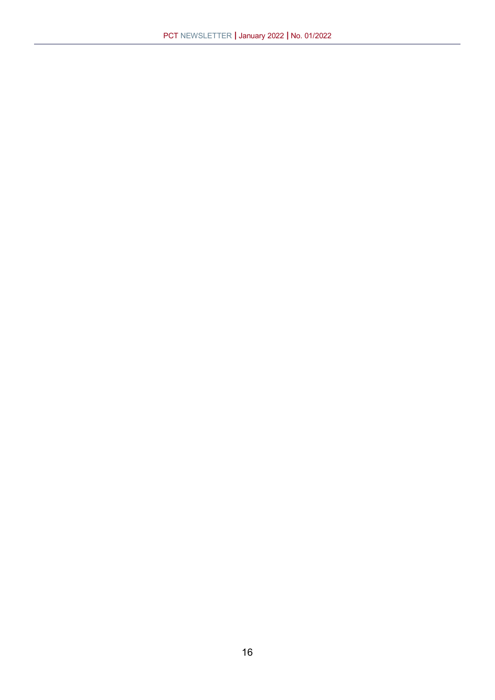|                              |            |                                         |            |                                    | (amounts on1 January 2022, unless otherwise indicated) |                          |                                                              |                          |                                  |
|------------------------------|------------|-----------------------------------------|------------|------------------------------------|--------------------------------------------------------|--------------------------|--------------------------------------------------------------|--------------------------|----------------------------------|
| <b>RO</b>                    |            | Transmittal fee <sup>1</sup>            |            | International<br>filing fee $1, 2$ | Fee per<br>sheet                                       |                          | E-filing reductions according to<br><b>Schedule of Fees:</b> |                          | Competent<br>ISA(s) <sup>4</sup> |
|                              |            |                                         |            |                                    | over 301, 2, 3                                         | Item $4(a)^5$            | Item $4(b)^6$                                                | Item $4(c)^7$            |                                  |
| ΚZ                           | <b>KZT</b> | 10,264.80                               | <b>USD</b> | 1,437                              | 16                                                     |                          |                                                              |                          | EP RU                            |
| ${\ensuremath{\mathsf{LR}}}$ | <b>USD</b> | 50                                      | <b>USD</b> | 1,437                              | 16                                                     |                          |                                                              | $\overline{\phantom{0}}$ | AT AU CN EP SE                   |
| LS                           | <b>LSL</b> | $-21$                                   | <b>LSL</b> | eq CHF 1,330                       | eq $CHF$ 15                                            | -                        |                                                              | $\overline{\phantom{0}}$ | AT EP                            |
| LT.                          | <b>EUR</b> | 92                                      | <b>EUR</b> | 1,235                              | 14                                                     | $\overline{\phantom{0}}$ | 186                                                          | 279                      | EP RU XV                         |
| LU                           | <b>EUR</b> | 19                                      | <b>EUR</b> | 1,235                              | 14                                                     | -                        | $\overline{\phantom{0}}$                                     | $\qquad \qquad -$        | EP                               |
| LV                           | <b>EUR</b> | 70                                      | <b>EUR</b> | 1,235                              | 14                                                     | $\overline{\phantom{0}}$ | 186                                                          | 279                      | EP RU                            |
| LY                           | <b>LYD</b> | $\overline{\phantom{0}}^{20}$           | <b>CHF</b> | 1,330                              | 15                                                     | $\overline{\phantom{0}}$ | $\overline{\phantom{0}}$                                     | $\qquad \qquad -$        | AT EP                            |
| MA                           | <b>MAD</b> | None                                    | <b>CHF</b> | 1,330                              | 15                                                     | -                        | 200                                                          | 300                      | AT EP RU SE                      |
| <b>MD</b>                    | <b>EUR</b> | 100                                     | <b>USD</b> | 1,437                              | 16                                                     | $\overline{\phantom{0}}$ | 216                                                          | 324                      | EP RU                            |
| <b>ME</b>                    | <b>EUR</b> | 15                                      | <b>EUR</b> | 1,235                              | 14                                                     | -                        | 186                                                          | 279                      | EP                               |
| ΜK                           | <b>MKD</b> | 2,700                                   |            | $MKD$ eq CHF 1,330                 | eq CHF 15                                              | $\overline{\phantom{0}}$ |                                                              | $\overline{\phantom{0}}$ | EP                               |
| <b>MN</b>                    |            | None                                    | <b>CHF</b> | 1,330                              | 15                                                     |                          |                                                              | -                        | EP KR RU                         |
| <b>MT</b>                    | <b>EUR</b> | 55                                      | <b>EUR</b> | 1,235                              | 14                                                     | $\overline{\phantom{0}}$ |                                                              | $\overline{\phantom{0}}$ | EP                               |
| <b>MW</b>                    | <b>MWK</b> | 6,000                                   | <b>USD</b> | 1,437                              | 16                                                     | -                        |                                                              |                          | EP                               |
| <b>MX</b>                    | USD        | 323.7022                                | <b>USD</b> | 1,437                              | 16                                                     | $\overline{\phantom{0}}$ | 216                                                          | 324                      | AT CL EP ES KR SE                |
| MY                           |            | <b>MYR</b> 500 (e-filing) <sup>23</sup> |            | MYR eq CHF 1,330                   | eq CHF 15                                              | $\overline{\phantom{0}}$ | eq CHF 200                                                   | eq CHF 300               | SG US<br>AU EP JP KR             |
|                              |            | 550 (paper filing) <sup>23</sup>        |            |                                    |                                                        |                          |                                                              |                          |                                  |
| NI                           | <b>USD</b> | 200                                     | <b>USD</b> | 1,437                              | 16                                                     | $\overline{\phantom{0}}$ | 216                                                          | 324                      | EP ES                            |
| NL                           | <b>EUR</b> | 50                                      | <b>EUR</b> | 1,235                              | 14                                                     | -                        | 186                                                          | 279                      | EP                               |
| NO                           | NOK        | 800                                     | <b>NOK</b> | 12,320                             | 140                                                    | -                        | 1,850                                                        | 2,780                    | EP SE XN                         |
| <b>NZ</b>                    | <b>NZD</b> | 207                                     | <b>NZD</b> | 2,060                              | 23                                                     | $\overline{\phantom{0}}$ | 310                                                          | 465                      | AU EP KR US                      |
| ΟA                           | <b>XAF</b> | $\overline{\phantom{0}}^{20}$           | <b>XAF</b> | eq CHF 1,330                       | eq CHF 15                                              | $\overline{\phantom{0}}$ | $\overline{\phantom{0}}$                                     | $\qquad \qquad -$        | AT EP RU SE                      |
| OМ                           | <b>OMR</b> | 40                                      |            | OMR $eq$ USD 1,437                 | eq <b>USD</b> 16                                       | $\overline{\phantom{0}}$ | eq <b>USD</b> 216                                            | eq <b>USD</b> 324        | AT AU EG EP US                   |
| PA                           | <b>USD</b> | 240                                     | <b>USD</b> | 1,437                              | 16                                                     | $\overline{\phantom{0}}$ | 216                                                          | 324                      | BR CL EP ES US                   |
| PE                           | <b>PEN</b> | 233.35                                  | <b>PEN</b> | eq <b>USD</b> 1,437                | eq <b>USD</b> 16                                       | $\overline{\phantom{0}}$ | eq <b>USD</b> 216                                            | eq <b>USD</b> 324        | AT BROLEPESKRUS                  |
| PG                           | <b>PGK</b> | 250                                     | <b>USD</b> | 1,437                              | 16                                                     | $\qquad \qquad -$        |                                                              | $\qquad \qquad -$        | AU                               |
| <b>PH</b>                    | <b>PHP</b> | 4,200                                   | <b>USD</b> | 1,437                              | 16                                                     | ÷,                       | 216                                                          | 324                      | AU EP JP KR PH US                |
| <b>PL</b>                    | <b>PLN</b> | 300                                     | <b>PLN</b> | eq CHF 1,330                       | eq $CHF$ 15                                            | $\overline{\phantom{0}}$ | eq CHF 200                                                   | eq CHF 300               | EP XV                            |
| PT                           |            | EUR $10.79$ (online filing)             | <b>EUR</b> | 1,235                              | 14                                                     | -                        | 186                                                          | 279                      | EP                               |
| QA                           | QAR        | EUR 21.58 (paper filing)                |            | QAR eq USD 1,437                   |                                                        | $\overline{\phantom{0}}$ | eq <b>USD</b> 216                                            |                          |                                  |
| <b>RO</b>                    | <b>RON</b> | 400<br>495                              | <b>EUR</b> |                                    | eq USD 16<br>14                                        |                          | 186                                                          | eq <b>USD</b> 324<br>279 | EG EP US<br>EP RU                |
| RS                           | <b>RSD</b> | 8,210 <sup>24</sup>                     | <b>EUR</b> | 1,235<br>1,235                     | 14                                                     |                          | 186                                                          | 279                      | EP XV                            |
| <b>RU</b>                    | <b>RUB</b> | 1,700                                   | <b>USD</b> | 1,437                              | 16                                                     |                          | 216                                                          | 324                      | EP RU                            |
| <b>RW</b>                    |            | Information not yet available           |            |                                    |                                                        |                          |                                                              |                          |                                  |
| SA                           | <b>USD</b> | 100                                     | <b>USD</b> | 1,437                              | 16                                                     |                          | 216                                                          | 324                      | CA EG EP KR RU                   |
|                              |            |                                         |            |                                    |                                                        |                          |                                                              |                          | SG US                            |
| SC                           | <b>USD</b> | $-20$                                   | <b>USD</b> | 1,437                              | 16                                                     | -                        |                                                              | $\overline{\phantom{0}}$ | EP                               |
| SD                           | <b>SDG</b> | 50                                      |            | SDG eq CHF 1,330                   | eq CHF 15                                              | $\overline{\phantom{0}}$ | eq CHF 200                                                   | $eq$ CHF 300             | EG EP                            |
| <b>SE</b>                    | <b>SEK</b> | 1,200                                   | <b>SEK</b> | 12,520                             | 140                                                    | -                        | 1,880                                                        | 2,820                    | EP SE XN                         |
| SG                           | <b>SGD</b> | 150                                     | SGD        | 1,948                              | 22                                                     | -                        | 293                                                          | 439                      | AT AU EP JP KR SG                |
| SI                           | <b>EUR</b> | 91                                      | <b>EUR</b> | 1,235                              | 14                                                     | -                        | 186                                                          | 279                      | EP                               |
| SK                           |            | <b>EUR</b> (paper filings) $66^{25}$    | <b>EUR</b> | 1,235                              | 14                                                     | -                        | 186                                                          | 279                      | EP XV                            |
| SV                           |            | None <sup>26</sup>                      | <b>USD</b> | 1,437                              | 16                                                     | -                        | 216                                                          | 324                      | CL EP ES                         |
| SY                           | <b>USD</b> | $-20$                                   | <b>USD</b> | 1,437                              | 16                                                     | -                        |                                                              | $\qquad \qquad -$        | AT EG EP RU                      |
| TH                           | THB        | 3,000                                   | THB        | eq CHF 1,330                       | eq CHF 15                                              | -                        |                                                              |                          | AU CN EP JP KR SG<br>US          |
| TJ                           | <b>TJS</b> | $\overline{\phantom{0}}^{20}$           | <b>USD</b> | 1,437                              | 16                                                     |                          | 216                                                          | 324                      | EP RU                            |
| TM                           | <b>USD</b> | $\overline{\phantom{0}}^{20}$           | <b>USD</b> | 1,437                              | 16                                                     |                          |                                                              |                          | EP RU                            |

# **Table I(a) — Transmittal and international filing fees** *[continued]*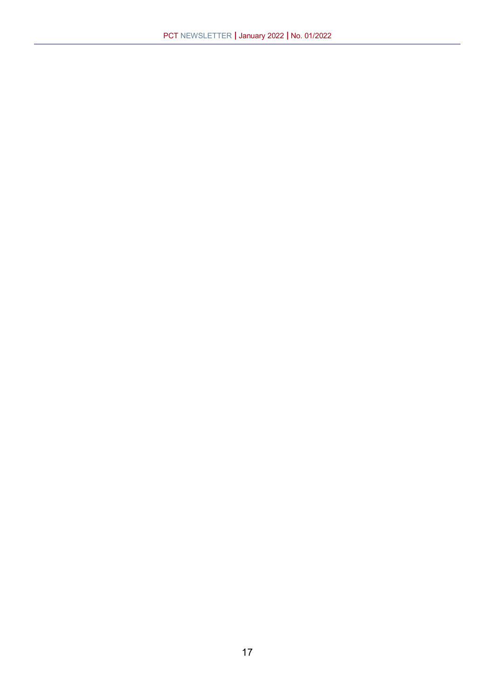|           | (amounts on1 January 2022, unless otherwise indicated)            |                                  |                      |                                             |                            |                          |                                                              |                                   |                                  |  |  |  |
|-----------|-------------------------------------------------------------------|----------------------------------|----------------------|---------------------------------------------|----------------------------|--------------------------|--------------------------------------------------------------|-----------------------------------|----------------------------------|--|--|--|
| <b>RO</b> |                                                                   | Transmittal fee <sup>1</sup>     |                      | International<br>filing fee <sup>1, 2</sup> | Fee per<br>sheet           |                          | E-filing reductions according to<br><b>Schedule of Fees:</b> |                                   | Competent<br>ISA(s) <sup>4</sup> |  |  |  |
|           |                                                                   |                                  |                      |                                             | over 30 <sup>1, 2, 3</sup> | Item $4(a)^5$            | Item $4(b)^6$                                                | Item $4(c)^7$                     |                                  |  |  |  |
| <b>TN</b> | <b>TND</b>                                                        | 100                              | <b>CHF</b>           | 1,330                                       | 15                         |                          | 200                                                          | 300                               | EP                               |  |  |  |
| <b>TR</b> |                                                                   | None                             | <b>CHF</b>           | 1,330                                       | 15                         | -                        | 200                                                          | 300                               | EP TR                            |  |  |  |
| <b>TT</b> | <b>TTD</b>                                                        | 750                              | <b>USD</b>           | 1,437                                       | 16                         | -                        |                                                              |                                   | AT CL EP SE US                   |  |  |  |
|           |                                                                   |                                  |                      |                                             |                            |                          | (from<br>31 January<br>2022: 216)                            | (from<br>31 January<br>2022: 324) |                                  |  |  |  |
| <b>UA</b> | UAH (or                                                           |                                  | USD (or              |                                             |                            |                          |                                                              |                                   |                                  |  |  |  |
|           |                                                                   | eq EUR or USD) $^{27}$ 2,600     |                      | eq UAH or EUR) 1,437                        | 16                         |                          |                                                              |                                   | EP RU UA                         |  |  |  |
| UG        | <b>UGX</b>                                                        |                                  | <b>UGX</b>           | eq <b>USD</b> 1,437                         | eq USD 16                  |                          | eq <b>USD</b> 216                                            | $eq$ USD 324                      | AT EP SG                         |  |  |  |
| <b>US</b> | <b>USD</b><br>small entity <sup>29</sup> :<br>micro entity $29$ : | 26028<br>$130^{28}$<br>$65^{28}$ | <b>USD</b>           | 1,437                                       | 16                         | 108                      | 216                                                          |                                   | AU EP IL JP KR RU<br>SG US       |  |  |  |
| <b>UZ</b> | <b>UZS</b>                                                        | 245,00030                        | <b>USD</b>           | 1,437                                       | 16                         | $\overline{\phantom{0}}$ | 216                                                          | 324                               | EP RU                            |  |  |  |
| VN        | <b>VND</b>                                                        | 300,000                          | <b>CHF</b>           | 1,330                                       | 15                         | -                        | 200                                                          | 300                               | AT AU EP JP KR RU<br>SE SG       |  |  |  |
| WS        | <b>SAT</b>                                                        | 200                              | <b>USD</b>           | 1,437                                       | 16                         |                          |                                                              |                                   | EP PH                            |  |  |  |
|           |                                                                   |                                  |                      |                                             |                            |                          | (from<br>31 Januarv<br>2022: 216)                            | (from<br>31 January<br>2022: 324) |                                  |  |  |  |
| ZA        | <b>ZAR</b>                                                        | 525                              | ZAR<br>(from 1.3.22: | 21.400<br>22,950)                           | 240<br>(260)               | $(-)$                    | 3.220<br>(3, 450)                                            | 4.830<br>(5, 180)                 | AT AU EP US                      |  |  |  |
| <b>ZM</b> | <b>USD</b>                                                        | 50                               | <b>USD</b>           | 1,437                                       | 16                         | -                        | 216                                                          | 324                               | AT SE                            |  |  |  |
| ZW        | ZWD                                                               | 6,000                            | ZWD                  | eq <b>USD</b> 1,437                         | eq USD 16                  |                          |                                                              |                                   | AT AU CN EP RU                   |  |  |  |

# **Table I(a) — Transmittal and international filing fees** *[continued]*

# **Table I(b) — Search fees**

(amounts on 1 January 2022, unless otherwise indicated)

| <b>ISA</b>         |                                                                        | Search fee <sup>1</sup>                  |            |                               |            |                      |            |               |            |            |            |         |
|--------------------|------------------------------------------------------------------------|------------------------------------------|------------|-------------------------------|------------|----------------------|------------|---------------|------------|------------|------------|---------|
| AT <sup>31</sup>   | <b>EUR</b>                                                             | 1,775                                    | <b>CHF</b> | 1,912                         |            | <b>KRW</b> 2,465,000 | <b>SGD</b> | 2,800         | <b>USD</b> | 2,065      | ZAR        | 30,760  |
| AU                 | <b>AUD</b>                                                             | 2,200                                    | <b>CHF</b> | 1,485                         | <b>EUR</b> | 1,379                |            | KRW 1,897,000 | <b>NZD</b> | 2,300      | <b>SGD</b> | 2,175   |
|                    | <b>USD</b>                                                             | 1.604                                    | <b>ZAR</b> | 23,890                        |            |                      |            |               |            |            |            |         |
| BR <sup>8</sup>    | Online:                                                                |                                          | <b>BRL</b> | 1,685                         | CHF*       | 290                  | <b>EUR</b> | 269           | <b>USD</b> | 313        |            |         |
|                    |                                                                        | *(from $1.3.22$ :                        | <b>CHF</b> | 275)                          |            |                      |            |               |            |            |            |         |
|                    | On paper:                                                              |                                          | <b>BRL</b> | 2,525                         | CHF*       | 434                  | <b>EUR</b> | 403           | <b>USD</b> | 469        |            |         |
|                    |                                                                        | *(from 1.3.22:                           | <b>CHF</b> | 412)                          |            |                      |            |               |            |            |            |         |
| CA                 | CAD                                                                    | 1,628.74                                 | <b>CHF</b> | 1,197                         | <b>EUR</b> | 1,134                | <b>USD</b> | 1,310         |            |            |            |         |
| <b>CL</b>          | <b>USD</b>                                                             | 2.000                                    | <b>CHF</b> | 1.852                         | <b>EUR</b> | 1,719                |            |               |            |            |            |         |
|                    | In case of filing by a natural person or a legal entity <sup>2</sup> : |                                          |            |                               | <b>USD</b> | 400                  | <b>CHF</b> | 370           | <b>EUR</b> | 344        |            |         |
|                    |                                                                        | In case of filing by a university $32$ . |            |                               |            | <b>USD</b>           | 300        | <b>CHF</b>    | 278        | <b>EUR</b> | 258        |         |
| <b>CN</b>          | <b>CNY</b>                                                             | 2,100                                    | <b>CHF</b> | 301                           | <b>EUR</b> | 280                  | <b>USD</b> | 325           |            |            |            |         |
| $EG^{33}$          | <b>EGP</b>                                                             | 4.000                                    | <b>CHF</b> | 236                           | <b>EUR</b> | 219                  | <b>USD</b> | 255           |            |            |            |         |
| $EP^{34}$          | <b>EUR</b>                                                             | 1,775                                    | <b>CHF</b> | 1,912                         | <b>DKK</b> | 13,200               | <b>GBP</b> | 1,518         | <b>HUF</b> | 631,700    | <b>ISK</b> | 266,500 |
|                    | <b>JPY</b>                                                             | 229,300                                  | <b>NOK</b> | 17,710                        | <b>NZD</b> | 2,961                | <b>SEK</b> | 18,000        | <b>SGD</b> | 2,800      | <b>USD</b> | 2,065   |
|                    | <b>ZAR</b>                                                             | 30,760                                   |            |                               |            |                      |            |               |            |            |            |         |
| ES <sup>34</sup>   | <b>EUR</b>                                                             | 1,775                                    | <b>CHF</b> | 1,912                         | <b>USD</b> | 2,065                |            |               |            |            |            |         |
| FI.                | <b>EUR</b>                                                             | 1.775                                    | <b>CHF</b> | 1,912                         | <b>USD</b> | 2,065                |            |               |            |            |            |         |
| IL.                | ILS*                                                                   | 3.553                                    | CHF*       | 1,022                         | EUR*       | 949                  | USD*       | 1,104         |            |            |            |         |
|                    |                                                                        | *(from 1.3.22:                           | <b>ILS</b> | 3,635                         | <b>CHF</b> | 1,078                | <b>EUR</b> | 1,041         | <b>USD</b> | 1, 174)    |            |         |
| IN                 | <b>INR</b>                                                             | 10.000                                   | <b>CHF</b> | 125                           | <b>EUR</b> | 116                  | <b>JPY</b> | 14,900        | <b>USD</b> | 135        |            |         |
|                    |                                                                        | In case of filing by an individual:      |            |                               |            |                      |            |               |            |            |            |         |
|                    | <b>INR</b>                                                             | 2,500                                    | <b>CHF</b> | 31                            | <b>EUR</b> | 29                   | <b>JPY</b> | 3,700         | <b>USD</b> | 34         |            |         |
| JP <sup>35</sup>   |                                                                        | For IAs in Japanese:                     |            |                               |            |                      |            |               |            |            |            |         |
|                    | <b>JPY</b>                                                             | 70.000                                   | <b>CHF</b> | 583                           | <b>EUR</b> | 542                  | <b>KRW</b> | 748,000       | <b>USD</b> | 631        |            |         |
|                    |                                                                        | For IAs in English:                      |            |                               |            |                      |            |               |            |            |            |         |
|                    | <b>JPY</b>                                                             | 156,000                                  | <b>CHF</b> | 1.300                         | <b>EUR</b> | 1,208                | <b>SGD</b> | 1,906         | <b>USD</b> | 1,405      |            |         |
| $\mathsf{KR}^{36}$ |                                                                        | For IAs in Korean:                       | <b>KRW</b> | 450,000                       | <b>AUD</b> | 520                  | <b>CHF</b> | 353           | <b>EUR</b> | 326        | <b>NZD</b> | 544     |
|                    | SGD                                                                    | 514                                      | <b>USD</b> | 379                           |            |                      |            |               |            |            |            |         |
|                    | <b>SGD</b>                                                             | For IAs in English:<br>1,371             | <b>USD</b> | <b>KRW</b> 1,200,000<br>1,011 | <b>AUD</b> | 1,387                | <b>CHF</b> | 942           | <b>EUR</b> | 869        | <b>NZD</b> | 1,450   |
|                    |                                                                        |                                          |            |                               |            |                      |            |               |            |            |            |         |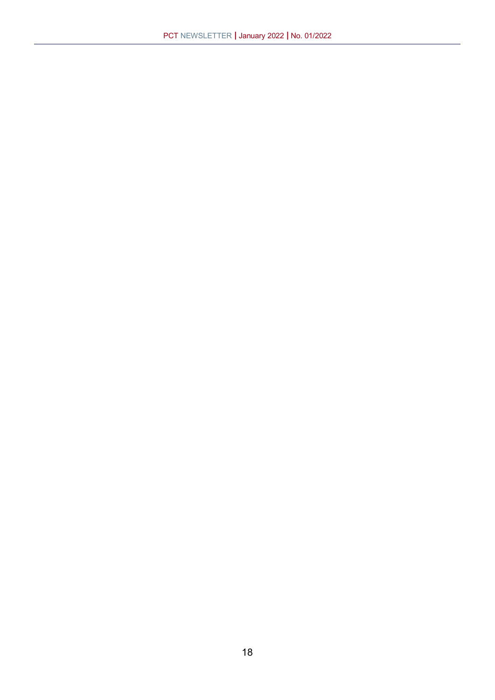| <b>ISA</b> | Search fee <sup>1</sup>          |                                            |            |            |            |            |            |            |            |                      |            |        |
|------------|----------------------------------|--------------------------------------------|------------|------------|------------|------------|------------|------------|------------|----------------------|------------|--------|
| PH         | <b>USD</b>                       | 1,000                                      | <b>CHF</b> | 926        | <b>EUR</b> | 860        |            |            |            |                      |            |        |
|            |                                  | Small entity or government <sup>37</sup> : |            | <b>USD</b> | 400        | <b>CHF</b> | 370        | <b>EUR</b> | 344        |                      |            |        |
| <b>RU</b>  |                                  | For IAs in Russian:                        | <b>RUB</b> | 8,500      | <b>CHF</b> | 108        | <b>EUR</b> | 100        | <b>USD</b> | 117                  |            |        |
|            |                                  | For IAs in English:                        | <b>RUB</b> | 40,000     | <b>CHF</b> | 508        | <b>EUR</b> | 472        | <b>USD</b> | 549                  |            |        |
| <b>SE</b>  | <b>SEK</b>                       | 18,000                                     | <b>CHF</b> | 1,912      | <b>DKK</b> | 13,200     | <b>EUR</b> | 1,775      | <b>ISK</b> | 266,500              | <b>NOK</b> | 17,710 |
|            | <b>USD</b>                       | 2,065                                      |            |            |            |            |            |            |            |                      |            |        |
| SG         | <b>SGD</b>                       | 2,240                                      | <b>CHF</b> | 1,529      | <b>EUR</b> | 1,420      | <b>JPY</b> | 183,300    |            | <b>KRW</b> 1,965,000 | <b>USD</b> | 1,652  |
| <b>TR</b>  | <b>TRY</b>                       | 18,250                                     | <b>CHF</b> | 1,912      | <b>EUR</b> | 1,775      | <b>USD</b> | 2,065      |            |                      |            |        |
| <b>UA</b>  | For IAs in Ukrainian or Russian: |                                            |            |            | <b>EUR</b> | 100        | <b>CHF</b> | 108        | <b>USD</b> | 116                  |            |        |
|            |                                  | For IAs in English, French or German:      |            |            | <b>EUR</b> | 300        | <b>CHF</b> | 323        | <b>USD</b> | 349                  |            |        |
| <b>US</b>  | <b>USD</b>                       | 2.180                                      | <b>CHF</b> | 2,018      | <b>EUR</b> | 1,874      | <b>NZD</b> | 3,126      | ZAR*       | 32,470               |            |        |
|            | *(from $1.3.22$ :                |                                            | ZAR        | 34,760)    |            |            |            |            |            |                      |            |        |
|            |                                  | For small entity <sup>29</sup> :           | <b>USD</b> | 1,090      | <b>CHF</b> | 1,009      | <b>EUR</b> | 937        | <b>NZD</b> | 1,563                | ZAR*       | 16,230 |
|            | *(from 1.3.22:                   |                                            | <b>ZAR</b> | 17,380)    |            |            |            |            |            |                      |            |        |
|            |                                  | For micro entity <sup>29</sup> :           | <b>USD</b> | 545        | <b>CHF</b> | 505        | <b>EUR</b> | 468        | <b>NZD</b> | 782                  | ZAR*       | 8,120  |
|            | *(from 1.3.22:                   |                                            | ZAR        | 8,690)     |            |            |            |            |            |                      |            |        |
| XN         | <b>DKK</b>                       | 13,200                                     | <b>CHF</b> | 1,912      | <b>EUR</b> | 1,775      | <b>ISK</b> | 266,500    | <b>NOK</b> | 17,710               | <b>SEK</b> | 18,000 |
|            | <b>USD</b>                       | 2,065                                      |            |            |            |            |            |            |            |                      |            |        |
| XV         | <b>EUR</b>                       | 1,775                                      | <b>CHF</b> | 1,912      | <b>HUF</b> | 631,700    | <b>USD</b> | 2,065      |            |                      |            |        |

#### **Table I(b) — Search fees** *[continued]* (amounts on 1 January 2022, unless otherwise indicated)

#### **Table I(c) — Supplementary search fees**

|            |                                                                                         |            | (amounts on 1 January 2022, unless otherwise indicated) |            |                                                    |  |  |
|------------|-----------------------------------------------------------------------------------------|------------|---------------------------------------------------------|------------|----------------------------------------------------|--|--|
| <b>ISA</b> | <b>Supplementary search fee</b>                                                         |            |                                                         |            | Supplementary search handling fee <sup>2, 38</sup> |  |  |
| <b>AT</b>  | - for a search of German-language                                                       |            |                                                         | <b>CHF</b> | 200                                                |  |  |
|            | documentation:                                                                          | <b>CHF</b> | 916                                                     |            |                                                    |  |  |
|            | - for a search of European<br>and North American documentation:                         |            |                                                         |            |                                                    |  |  |
|            | - for a search of PCT minimum                                                           | <b>CHF</b> | 1,282                                                   |            |                                                    |  |  |
|            | documentation:                                                                          | <b>CHF</b> | 1,831                                                   |            |                                                    |  |  |
| EP         | 1.91234<br><b>CHF</b>                                                                   |            |                                                         | <b>CHF</b> | 200                                                |  |  |
| FI.        | <b>CHF</b><br>1,912                                                                     |            |                                                         | <b>CHF</b> | 200                                                |  |  |
| <b>RU</b>  | <b>CHF</b><br>150                                                                       |            |                                                         | <b>CHF</b> | 200                                                |  |  |
|            | $240^{39}$<br><b>CHF</b>                                                                |            |                                                         |            |                                                    |  |  |
| <b>SE</b>  | <b>CHF</b><br>1,912                                                                     |            |                                                         | <b>CHF</b> | 200                                                |  |  |
| SG         | <b>CHF</b><br>1,529                                                                     |            |                                                         | <b>CHF</b> | 200                                                |  |  |
| <b>TR</b>  | - for a full search:                                                                    | <b>CHF</b> | 1,912                                                   | <b>CHF</b> | 200                                                |  |  |
|            | - for a search only of documents in Turkish                                             |            |                                                         |            |                                                    |  |  |
|            | held in the search collection of the Authority                                          | <b>CHF</b> | 52                                                      |            |                                                    |  |  |
| UA         | - for a search of the documents in the search                                           |            |                                                         | <b>CHF</b> | 200                                                |  |  |
|            | collection of the Authority, including the PCT                                          |            |                                                         |            |                                                    |  |  |
|            | minimum documentation:                                                                  | <b>CHF</b> | 97                                                      |            |                                                    |  |  |
|            | - for a search of only the European and                                                 |            |                                                         |            |                                                    |  |  |
|            | North American documentation:                                                           | <b>CHF</b> | 97                                                      |            |                                                    |  |  |
|            | - for a search of only the Russian language<br>documentation of the former USSR and the |            |                                                         |            |                                                    |  |  |
|            | Ukrainian language documentation:                                                       | <b>CHF</b> | 75                                                      |            |                                                    |  |  |
|            | - for a search where a declaration referred to in                                       |            |                                                         |            |                                                    |  |  |
|            | PCT Article 17(2)(a) has been made because of                                           |            |                                                         |            |                                                    |  |  |
|            | subject matter referred to in PCT Rule 39.1(iv): CHF                                    |            | 65                                                      |            |                                                    |  |  |
| XN         | $-$ for a full search:                                                                  | <b>CHF</b> | 1,912                                                   | <b>CHF</b> | 200                                                |  |  |
|            | - for searches only of documentation in                                                 |            |                                                         |            |                                                    |  |  |
|            | Danish, Icelandic, Norwegian and Swedish:                                               | <b>CHF</b> | 579                                                     |            |                                                    |  |  |
| XV         | $-$ for a full search:                                                                  | <b>CHF</b> | 1,912                                                   | <b>CHF</b> | 200                                                |  |  |
|            | - for searches only of documentation in                                                 |            |                                                         |            |                                                    |  |  |
|            | Czech, Hungarian, Polish and Slovak:                                                    | <b>CHF</b> | 592                                                     |            |                                                    |  |  |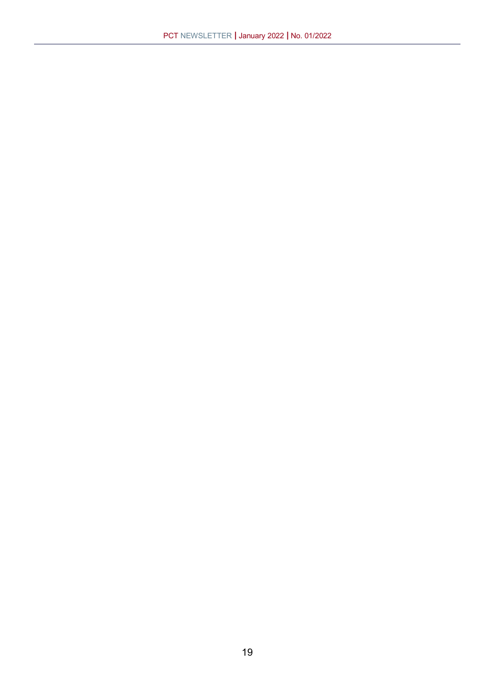#### **Table II — Preliminary examination fees**

| <b>IPEA</b> | (amounts on 1 January 2022, unless otherwise indicated)<br>Preliminary examination fee <sup>40</sup>                   | Handling fee <sup>2, 40</sup> (CHF 200) |
|-------------|------------------------------------------------------------------------------------------------------------------------|-----------------------------------------|
| AT          | <b>EUR</b><br>1,74931                                                                                                  | <b>EUR</b><br>186                       |
| AU          | 82041<br><b>AUD</b><br>590                                                                                             | <b>AUD</b><br>296                       |
| <b>BR</b>   | 6308<br>Online:<br><b>BRL</b>                                                                                          | 200<br><b>BRL eq CHF</b>                |
|             | 9458<br>On paper:<br><b>BRL</b>                                                                                        |                                         |
| CA          | <b>CAD</b><br>814.37                                                                                                   | <b>CAD</b><br>272                       |
| <b>CL</b>   | <b>USD</b><br>1,500                                                                                                    | <b>USD</b><br>216                       |
|             | in case of filing by a natural person or a legal entity <sup>2</sup> : $\text{USD}$ 400                                |                                         |
|             | in case of filing by a university <sup>32</sup> :<br><b>USD 300</b>                                                    |                                         |
| <b>CN</b>   | <b>CNY</b><br>1,500                                                                                                    | <b>CNY</b><br>1,390                     |
| EG          | <b>EGP</b><br>3,000                                                                                                    | <b>USD</b><br>216                       |
| EP          | 1,83034<br><b>EUR</b>                                                                                                  | 186<br><b>EUR</b>                       |
| ES          | <b>EUR</b><br>589.4834<br>(from 11.3.22:<br>595.37)                                                                    | <b>EUR</b><br>186                       |
| FI.         | 600<br><b>EUR</b>                                                                                                      | <b>EUR</b><br>186                       |
| IL.         | <b>ILS</b><br>1,523<br>(from 1.3.22:<br>1,558                                                                          | <b>ILS</b><br>695                       |
| $\sf IN$    | if ISR prepared by ISA/IN:<br>INR 10,000; in case of filing by individual: INR 2,500                                   | <b>USD</b><br>216                       |
|             | if ISR not prepared by ISA/IN:                                                                                         |                                         |
|             | INR 12,000; in case of filing by individual: INR 3,000                                                                 |                                         |
| $JP^{35}$   | <b>JPY</b><br>For IAs in Japanese:<br>26,000                                                                           | <b>JPY</b><br>24,000                    |
|             | <b>JPY</b><br>58,000<br>For IAs in English:                                                                            |                                         |
| KR          | <b>KRW</b><br>450,000                                                                                                  | <b>KRW</b><br>256,000                   |
| PH          | <b>USD</b><br>500                                                                                                      | <b>USD</b><br>216                       |
|             | Small entity or government: 37<br><b>USD 200</b>                                                                       |                                         |
| <b>RU</b>   | 4,50042<br>6,75043<br>For IAs in Russian:<br><b>RUB</b><br>16,00042<br>24,00043<br><b>RUB</b><br>For IAs in English:   | <b>USD</b><br>216                       |
| <b>SE</b>   | <b>SEK</b><br>5,000                                                                                                    | <b>SEK</b><br>1,880                     |
| SG          | <b>SGD</b><br>830                                                                                                      | <b>SGD</b><br>293                       |
| TR          | <b>TRY</b><br>1,000                                                                                                    | CHF<br>200                              |
| UA          | If the ISR has been prepared by ISA/UA:                                                                                | <b>EUR</b><br>186                       |
|             | - for IAs in English, French or German:<br><b>EUR</b><br>160                                                           |                                         |
|             | <b>EUR</b><br>50<br>- for IAs in Russian or Ukrainian:                                                                 |                                         |
|             | If the ISR has been prepared by another ISA:                                                                           |                                         |
|             | - for IAs in English, French or German:<br><b>EUR</b><br>180<br>70<br>- for IAs in Russian or Ukrainian:<br><b>EUR</b> |                                         |
| US          | $800^{44}$<br><b>USD</b><br>640                                                                                        | 216<br><b>USD</b>                       |
|             | For small entity <sup>29</sup> :<br><b>USD</b><br>40044<br>320                                                         |                                         |
|             | <b>USD</b><br>20044<br>For micro entity <sup>29</sup> :<br>160                                                         |                                         |
| XN          | 5,000<br><b>DKK</b>                                                                                                    | <b>DKK</b><br>1,380                     |
| XV          | <b>EUR</b><br>900                                                                                                      | <b>EUR</b><br>186                       |

*[footnotes to fee tables follow]*